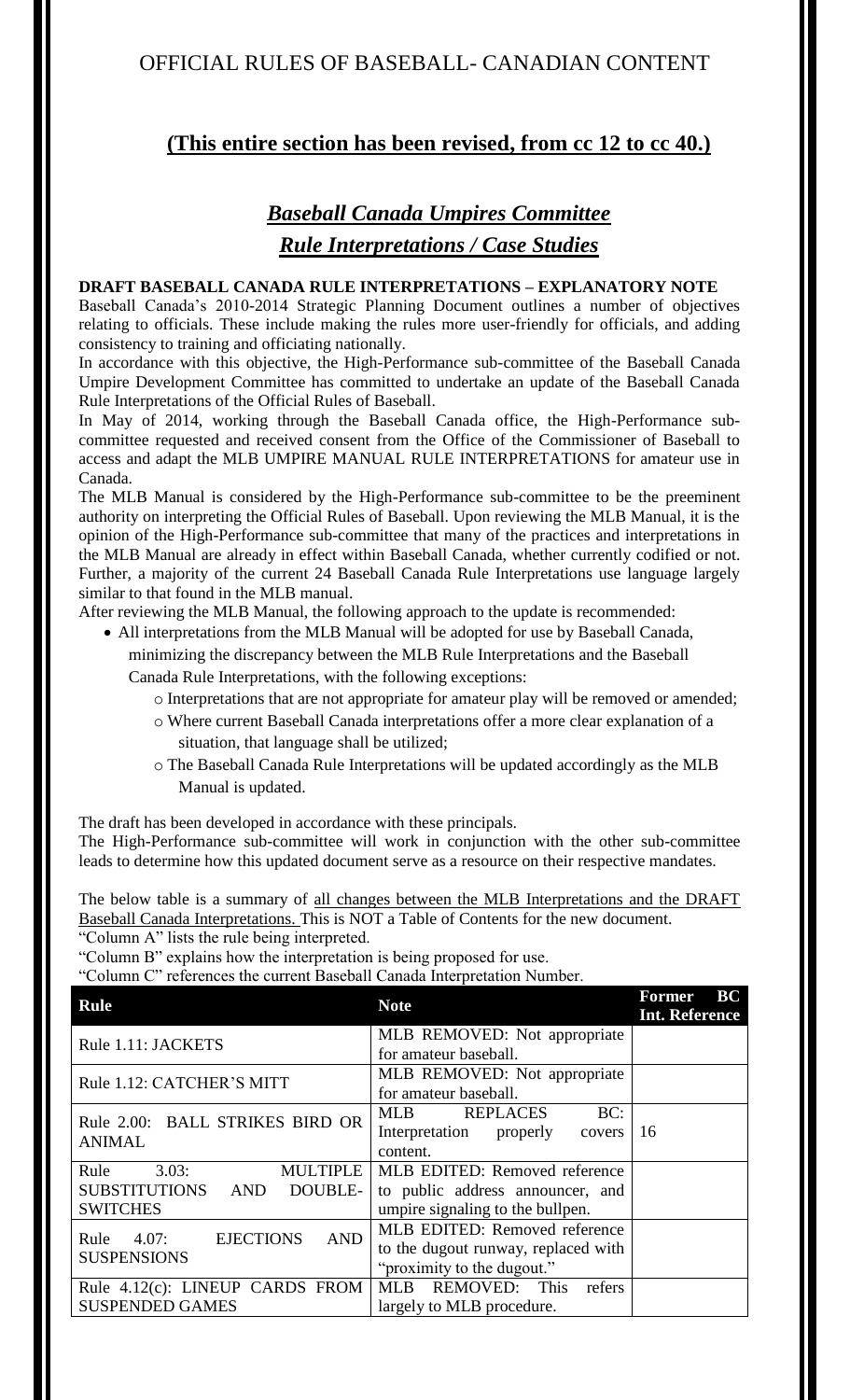# **(This entire section has been revised, from cc 12 to cc 40.)**

# *Baseball Canada Umpires Committee Rule Interpretations / Case Studies*

## **DRAFT BASEBALL CANADA RULE INTERPRETATIONS – EXPLANATORY NOTE**

Baseball Canada's 2010-2014 Strategic Planning Document outlines a number of objectives relating to officials. These include making the rules more user-friendly for officials, and adding consistency to training and officiating nationally.

In accordance with this objective, the High-Performance sub-committee of the Baseball Canada Umpire Development Committee has committed to undertake an update of the Baseball Canada Rule Interpretations of the Official Rules of Baseball.

In May of 2014, working through the Baseball Canada office, the High-Performance subcommittee requested and received consent from the Office of the Commissioner of Baseball to access and adapt the MLB UMPIRE MANUAL RULE INTERPRETATIONS for amateur use in Canada.

The MLB Manual is considered by the High-Performance sub-committee to be the preeminent authority on interpreting the Official Rules of Baseball. Upon reviewing the MLB Manual, it is the opinion of the High-Performance sub-committee that many of the practices and interpretations in the MLB Manual are already in effect within Baseball Canada, whether currently codified or not. Further, a majority of the current 24 Baseball Canada Rule Interpretations use language largely similar to that found in the MLB manual.

After reviewing the MLB Manual, the following approach to the update is recommended:

- All interpretations from the MLB Manual will be adopted for use by Baseball Canada, minimizing the discrepancy between the MLB Rule Interpretations and the Baseball Canada Rule Interpretations, with the following exceptions:
	- o Interpretations that are not appropriate for amateur play will be removed or amended;
	- o Where current Baseball Canada interpretations offer a more clear explanation of a situation, that language shall be utilized;
	- o The Baseball Canada Rule Interpretations will be updated accordingly as the MLB Manual is updated.

The draft has been developed in accordance with these principals.

The High-Performance sub-committee will work in conjunction with the other sub-committee leads to determine how this updated document serve as a resource on their respective mandates.

The below table is a summary of all changes between the MLB Interpretations and the DRAFT Baseball Canada Interpretations. This is NOT a Table of Contents for the new document.

"Column A" lists the rule being interpreted.

"Column B" explains how the interpretation is being proposed for use.

"Column C" references the current Baseball Canada Interpretation Number.

| <b>Rule</b>                                                                         | <b>Note</b>                                                                                           | BC<br><b>Former</b><br><b>Int. Reference</b> |
|-------------------------------------------------------------------------------------|-------------------------------------------------------------------------------------------------------|----------------------------------------------|
| Rule 1.11: JACKETS                                                                  | MLB REMOVED: Not appropriate<br>for amateur baseball.                                                 |                                              |
| Rule 1.12: CATCHER'S MITT                                                           | MLB REMOVED: Not appropriate<br>for amateur baseball.                                                 |                                              |
| Rule 2.00: BALL STRIKES BIRD OR<br><b>ANIMAL</b>                                    | BC:<br><b>MLB</b><br><b>REPLACES</b><br>Interpretation properly<br>covers<br>content.                 | 16                                           |
| 3.03:<br><b>MULTIPLE</b><br>Rule<br>SUBSTITUTIONS AND<br>DOUBLE-<br><b>SWITCHES</b> | MLB EDITED: Removed reference<br>to public address announcer, and<br>umpire signaling to the bullpen. |                                              |
| <b>EJECTIONS</b><br><b>AND</b><br>Rule<br>4.07:<br><b>SUSPENSIONS</b>               | MLB EDITED: Removed reference<br>to the dugout runway, replaced with<br>"proximity to the dugout."    |                                              |
| Rule 4.12(c): LINEUP CARDS FROM<br><b>SUSPENDED GAMES</b>                           | REMOVED: This<br>refers<br>MLB<br>largely to MLB procedure.                                           |                                              |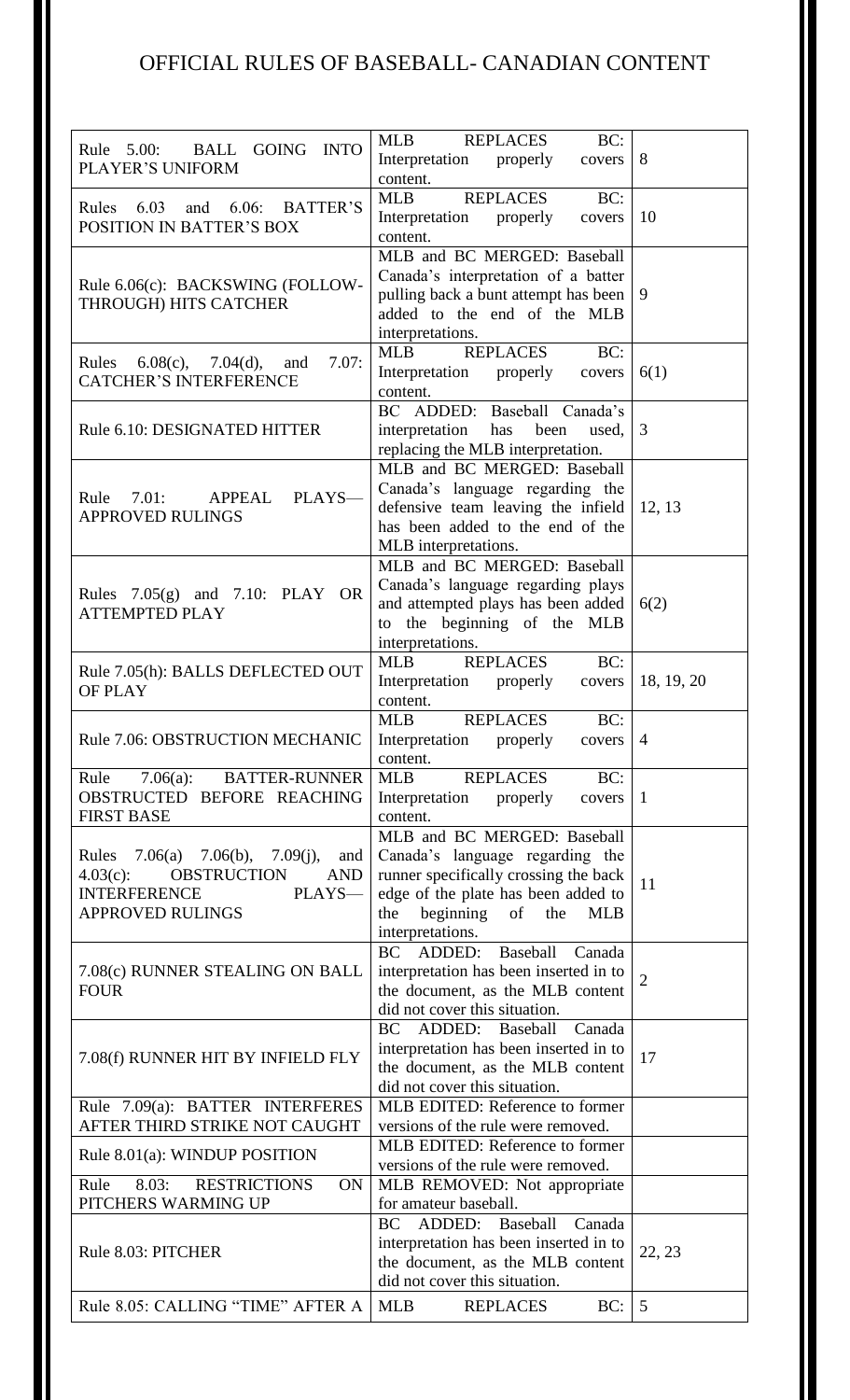| Rule 5.00: BALL GOING INTO<br><b>PLAYER'S UNIFORM</b>                                                                                                  | <b>MLB</b><br>BC:<br>REPLACES<br>Interpretation properly<br>covers<br>content.                                                                                                                                 | 8              |
|--------------------------------------------------------------------------------------------------------------------------------------------------------|----------------------------------------------------------------------------------------------------------------------------------------------------------------------------------------------------------------|----------------|
| Rules 6.03<br>$6.06$ : BATTER'S<br>and<br><b>POSITION IN BATTER'S BOX</b>                                                                              | BC:<br><b>MLB</b><br>REPLACES<br>Interpretation properly<br>covers<br>content.                                                                                                                                 | 10             |
| Rule 6.06(c): BACKSWING (FOLLOW-<br>THROUGH) HITS CATCHER                                                                                              | MLB and BC MERGED: Baseball<br>Canada's interpretation of a batter<br>pulling back a bunt attempt has been<br>added to the end of the MLB<br>interpretations.                                                  | 9              |
| 7.07:<br>Rules $6.08(c)$ , $7.04(d)$ ,<br>and<br><b>CATCHER'S INTERFERENCE</b>                                                                         | BC:<br><b>MLB</b><br><b>REPLACES</b><br>Interpretation properly covers<br>content.                                                                                                                             | 6(1)           |
| Rule 6.10: DESIGNATED HITTER                                                                                                                           | BC ADDED: Baseball Canada's<br>been<br>interpretation<br>has<br>used,<br>replacing the MLB interpretation.                                                                                                     | 3              |
| 7.01:<br>PLAYS-<br>APPEAL<br>Rule<br><b>APPROVED RULINGS</b>                                                                                           | MLB and BC MERGED: Baseball<br>Canada's language regarding the<br>defensive team leaving the infield<br>has been added to the end of the<br>MLB interpretations.                                               | 12, 13         |
| Rules $7.05(g)$ and $7.10$ : PLAY OR<br><b>ATTEMPTED PLAY</b>                                                                                          | MLB and BC MERGED: Baseball<br>Canada's language regarding plays<br>and attempted plays has been added<br>to the beginning of the MLB<br>interpretations.                                                      | 6(2)           |
| Rule 7.05(h): BALLS DEFLECTED OUT<br><b>OF PLAY</b>                                                                                                    | <b>MLB</b><br><b>REPLACES</b><br>BC:<br>Interpretation properly<br>covers<br>content.                                                                                                                          | 18, 19, 20     |
| Rule 7.06: OBSTRUCTION MECHANIC                                                                                                                        | <b>MLB</b><br><b>REPLACES</b><br>BC:<br>Interpretation properly covers   4<br>content.                                                                                                                         |                |
| Rule 7.06(a): BATTER-RUNNER<br>OBSTRUCTED BEFORE REACHING<br><b>FIRST BASE</b>                                                                         | REPLACES<br>BC:<br><b>MLB</b><br>Interpretation properly<br>covers<br>content.                                                                                                                                 | $\mathbf{1}$   |
| Rules $7.06(a)$ $7.06(b)$ , $7.09(j)$ ,<br>and<br>OBSTRUCTION<br>$4.03(c)$ :<br><b>AND</b><br><b>INTERFERENCE</b><br>PLAYS-<br><b>APPROVED RULINGS</b> | MLB and BC MERGED: Baseball<br>Canada's language regarding the<br>runner specifically crossing the back<br>edge of the plate has been added to<br>beginning of<br>the<br>the<br><b>MLB</b><br>interpretations. | 11             |
| 7.08(c) RUNNER STEALING ON BALL<br><b>FOUR</b>                                                                                                         | BC ADDED: Baseball Canada<br>interpretation has been inserted in to<br>the document, as the MLB content<br>did not cover this situation.                                                                       | $\overline{2}$ |
| 7.08(f) RUNNER HIT BY INFIELD FLY                                                                                                                      | <b>BC</b><br>ADDED:<br>Baseball Canada<br>interpretation has been inserted in to<br>the document, as the MLB content<br>did not cover this situation.                                                          | 17             |
| Rule 7.09(a): BATTER INTERFERES<br>AFTER THIRD STRIKE NOT CAUGHT                                                                                       | MLB EDITED: Reference to former<br>versions of the rule were removed.                                                                                                                                          |                |
| Rule 8.01(a): WINDUP POSITION                                                                                                                          | MLB EDITED: Reference to former<br>versions of the rule were removed.                                                                                                                                          |                |
| Rule<br>8.03:<br><b>RESTRICTIONS</b><br><b>ON</b><br>PITCHERS WARMING UP                                                                               | MLB REMOVED: Not appropriate<br>for amateur baseball.                                                                                                                                                          |                |
| Rule 8.03: PITCHER                                                                                                                                     | BC ADDED: Baseball Canada<br>interpretation has been inserted in to<br>the document, as the MLB content<br>did not cover this situation.                                                                       | 22, 23         |
| Rule 8.05: CALLING "TIME" AFTER A                                                                                                                      | BC:<br><b>MLB</b><br>REPLACES                                                                                                                                                                                  | 5              |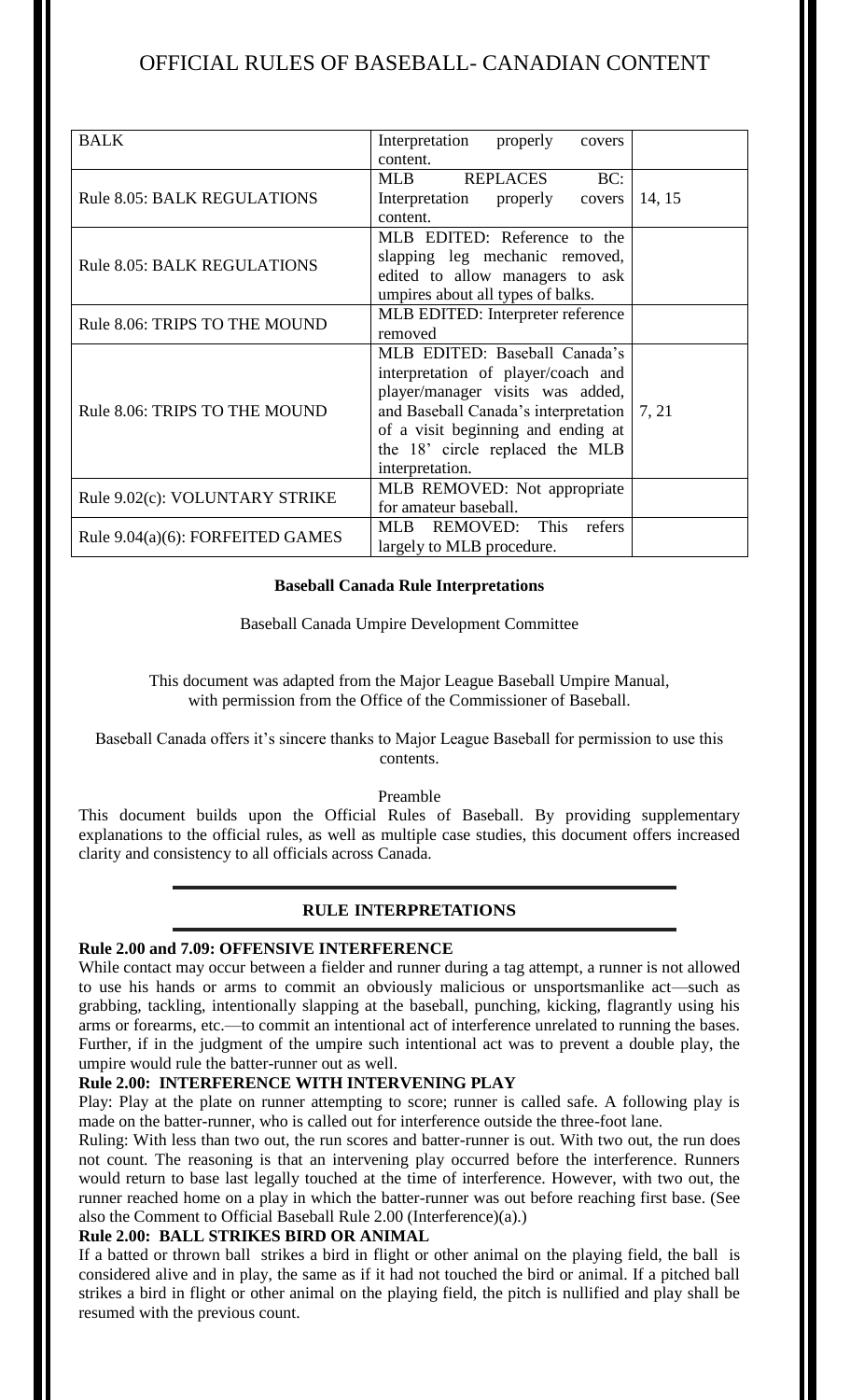| <b>BALK</b>                        | Interpretation<br>properly<br>covers                                                                              |        |
|------------------------------------|-------------------------------------------------------------------------------------------------------------------|--------|
|                                    | content.                                                                                                          |        |
| <b>Rule 8.05: BALK REGULATIONS</b> | <b>REPLACES</b><br>BC:<br><b>MLB</b>                                                                              |        |
|                                    | Interpretation properly<br>covers                                                                                 | 14, 15 |
|                                    | content.                                                                                                          |        |
| <b>Rule 8.05: BALK REGULATIONS</b> | MLB EDITED: Reference to the                                                                                      |        |
|                                    | slapping leg mechanic removed,                                                                                    |        |
|                                    | edited to allow managers to ask                                                                                   |        |
|                                    | umpires about all types of balks.                                                                                 |        |
| Rule 8.06: TRIPS TO THE MOUND      | MLB EDITED: Interpreter reference                                                                                 |        |
|                                    | removed                                                                                                           |        |
|                                    | MLB EDITED: Baseball Canada's                                                                                     |        |
| Rule 8.06: TRIPS TO THE MOUND      | interpretation of player/coach and                                                                                |        |
|                                    | player/manager visits was added,                                                                                  |        |
|                                    | and Baseball Canada's interpretation   7, 21                                                                      |        |
|                                    | of a visit beginning and ending at                                                                                |        |
|                                    | the 18' circle replaced the MLB                                                                                   |        |
|                                    | interpretation.                                                                                                   |        |
| Rule 9.02(c): VOLUNTARY STRIKE     |                                                                                                                   |        |
|                                    |                                                                                                                   |        |
| Rule 9.04(a)(6): FORFEITED GAMES   |                                                                                                                   |        |
|                                    |                                                                                                                   |        |
|                                    | MLB REMOVED: Not appropriate<br>for amateur baseball.<br>MLB REMOVED: This<br>refers<br>largely to MLB procedure. |        |

## **Baseball Canada Rule Interpretations**

Baseball Canada Umpire Development Committee

This document was adapted from the Major League Baseball Umpire Manual, with permission from the Office of the Commissioner of Baseball.

## Baseball Canada offers it's sincere thanks to Major League Baseball for permission to use this contents.

## Preamble

This document builds upon the Official Rules of Baseball. By providing supplementary explanations to the official rules, as well as multiple case studies, this document offers increased clarity and consistency to all officials across Canada.

## **RULE INTERPRETATIONS**

## **Rule 2.00 and 7.09: OFFENSIVE INTERFERENCE**

While contact may occur between a fielder and runner during a tag attempt, a runner is not allowed to use his hands or arms to commit an obviously malicious or unsportsmanlike act—such as grabbing, tackling, intentionally slapping at the baseball, punching, kicking, flagrantly using his arms or forearms, etc.—to commit an intentional act of interference unrelated to running the bases. Further, if in the judgment of the umpire such intentional act was to prevent a double play, the umpire would rule the batter-runner out as well.

## **Rule 2.00: INTERFERENCE WITH INTERVENING PLAY**

Play: Play at the plate on runner attempting to score; runner is called safe. A following play is made on the batter-runner, who is called out for interference outside the three-foot lane.

Ruling: With less than two out, the run scores and batter-runner is out. With two out, the run does not count. The reasoning is that an intervening play occurred before the interference. Runners would return to base last legally touched at the time of interference. However, with two out, the runner reached home on a play in which the batter-runner was out before reaching first base. (See also the Comment to Official Baseball Rule 2.00 (Interference)(a).)

## **Rule 2.00: BALL STRIKES BIRD OR ANIMAL**

If a batted or thrown ball strikes a bird in flight or other animal on the playing field, the ball is considered alive and in play, the same as if it had not touched the bird or animal. If a pitched ball strikes a bird in flight or other animal on the playing field, the pitch is nullified and play shall be resumed with the previous count.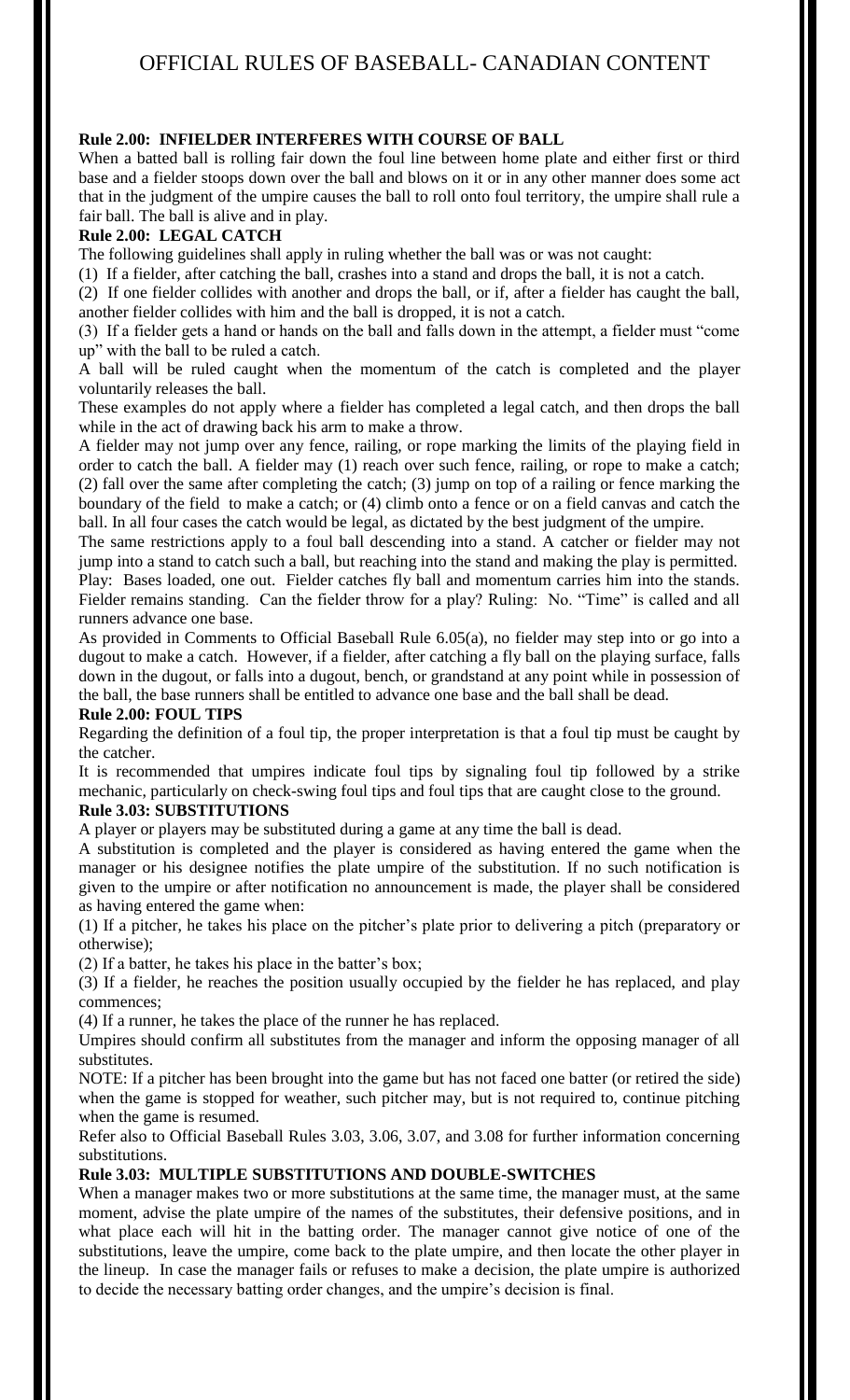## **Rule 2.00: INFIELDER INTERFERES WITH COURSE OF BALL**

When a batted ball is rolling fair down the foul line between home plate and either first or third base and a fielder stoops down over the ball and blows on it or in any other manner does some act that in the judgment of the umpire causes the ball to roll onto foul territory, the umpire shall rule a fair ball. The ball is alive and in play.

## **Rule 2.00: LEGAL CATCH**

The following guidelines shall apply in ruling whether the ball was or was not caught:

(1) If a fielder, after catching the ball, crashes into a stand and drops the ball, it is not a catch.

(2) If one fielder collides with another and drops the ball, or if, after a fielder has caught the ball, another fielder collides with him and the ball is dropped, it is not a catch.

(3) If a fielder gets a hand or hands on the ball and falls down in the attempt, a fielder must "come up" with the ball to be ruled a catch.

A ball will be ruled caught when the momentum of the catch is completed and the player voluntarily releases the ball.

These examples do not apply where a fielder has completed a legal catch, and then drops the ball while in the act of drawing back his arm to make a throw.

A fielder may not jump over any fence, railing, or rope marking the limits of the playing field in order to catch the ball. A fielder may (1) reach over such fence, railing, or rope to make a catch; (2) fall over the same after completing the catch; (3) jump on top of a railing or fence marking the boundary of the field to make a catch; or (4) climb onto a fence or on a field canvas and catch the ball. In all four cases the catch would be legal, as dictated by the best judgment of the umpire.

The same restrictions apply to a foul ball descending into a stand. A catcher or fielder may not jump into a stand to catch such a ball, but reaching into the stand and making the play is permitted. Play: Bases loaded, one out. Fielder catches fly ball and momentum carries him into the stands. Fielder remains standing. Can the fielder throw for a play? Ruling: No. "Time" is called and all runners advance one base.

As provided in Comments to Official Baseball Rule 6.05(a), no fielder may step into or go into a dugout to make a catch. However, if a fielder, after catching a fly ball on the playing surface, falls down in the dugout, or falls into a dugout, bench, or grandstand at any point while in possession of the ball, the base runners shall be entitled to advance one base and the ball shall be dead.

## **Rule 2.00: FOUL TIPS**

Regarding the definition of a foul tip, the proper interpretation is that a foul tip must be caught by the catcher.

It is recommended that umpires indicate foul tips by signaling foul tip followed by a strike mechanic, particularly on check-swing foul tips and foul tips that are caught close to the ground.

## **Rule 3.03: SUBSTITUTIONS**

A player or players may be substituted during a game at any time the ball is dead.

A substitution is completed and the player is considered as having entered the game when the manager or his designee notifies the plate umpire of the substitution. If no such notification is given to the umpire or after notification no announcement is made, the player shall be considered as having entered the game when:

(1) If a pitcher, he takes his place on the pitcher's plate prior to delivering a pitch (preparatory or otherwise);

(2) If a batter, he takes his place in the batter's box;

(3) If a fielder, he reaches the position usually occupied by the fielder he has replaced, and play commences;

(4) If a runner, he takes the place of the runner he has replaced.

Umpires should confirm all substitutes from the manager and inform the opposing manager of all substitutes.

NOTE: If a pitcher has been brought into the game but has not faced one batter (or retired the side) when the game is stopped for weather, such pitcher may, but is not required to, continue pitching when the game is resumed.

Refer also to Official Baseball Rules 3.03, 3.06, 3.07, and 3.08 for further information concerning substitutions.

## **Rule 3.03: MULTIPLE SUBSTITUTIONS AND DOUBLE-SWITCHES**

When a manager makes two or more substitutions at the same time, the manager must, at the same moment, advise the plate umpire of the names of the substitutes, their defensive positions, and in what place each will hit in the batting order. The manager cannot give notice of one of the substitutions, leave the umpire, come back to the plate umpire, and then locate the other player in the lineup. In case the manager fails or refuses to make a decision, the plate umpire is authorized to decide the necessary batting order changes, and the umpire's decision is final.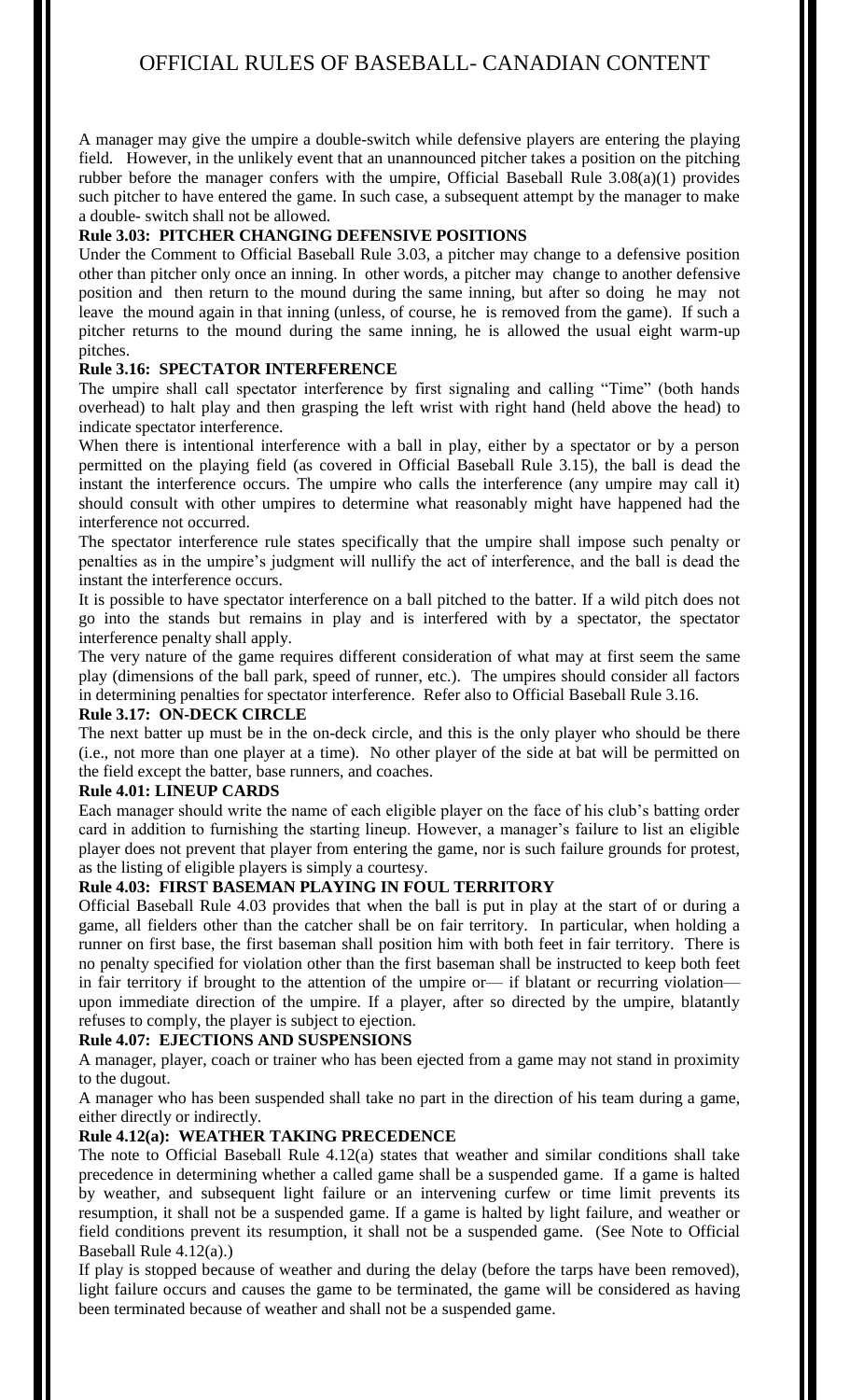A manager may give the umpire a double-switch while defensive players are entering the playing field. However, in the unlikely event that an unannounced pitcher takes a position on the pitching rubber before the manager confers with the umpire, Official Baseball Rule 3.08(a)(1) provides such pitcher to have entered the game. In such case, a subsequent attempt by the manager to make a double- switch shall not be allowed.

## **Rule 3.03: PITCHER CHANGING DEFENSIVE POSITIONS**

Under the Comment to Official Baseball Rule 3.03, a pitcher may change to a defensive position other than pitcher only once an inning. In other words, a pitcher may change to another defensive position and then return to the mound during the same inning, but after so doing he may not leave the mound again in that inning (unless, of course, he is removed from the game). If such a pitcher returns to the mound during the same inning, he is allowed the usual eight warm-up pitches.

## **Rule 3.16: SPECTATOR INTERFERENCE**

The umpire shall call spectator interference by first signaling and calling "Time" (both hands overhead) to halt play and then grasping the left wrist with right hand (held above the head) to indicate spectator interference.

When there is intentional interference with a ball in play, either by a spectator or by a person permitted on the playing field (as covered in Official Baseball Rule 3.15), the ball is dead the instant the interference occurs. The umpire who calls the interference (any umpire may call it) should consult with other umpires to determine what reasonably might have happened had the interference not occurred.

The spectator interference rule states specifically that the umpire shall impose such penalty or penalties as in the umpire's judgment will nullify the act of interference, and the ball is dead the instant the interference occurs.

It is possible to have spectator interference on a ball pitched to the batter. If a wild pitch does not go into the stands but remains in play and is interfered with by a spectator, the spectator interference penalty shall apply.

The very nature of the game requires different consideration of what may at first seem the same play (dimensions of the ball park, speed of runner, etc.). The umpires should consider all factors in determining penalties for spectator interference. Refer also to Official Baseball Rule 3.16.

#### **Rule 3.17: ON-DECK CIRCLE**

The next batter up must be in the on-deck circle, and this is the only player who should be there (i.e., not more than one player at a time). No other player of the side at bat will be permitted on the field except the batter, base runners, and coaches.

## **Rule 4.01: LINEUP CARDS**

Each manager should write the name of each eligible player on the face of his club's batting order card in addition to furnishing the starting lineup. However, a manager's failure to list an eligible player does not prevent that player from entering the game, nor is such failure grounds for protest, as the listing of eligible players is simply a courtesy.

## **Rule 4.03: FIRST BASEMAN PLAYING IN FOUL TERRITORY**

Official Baseball Rule 4.03 provides that when the ball is put in play at the start of or during a game, all fielders other than the catcher shall be on fair territory. In particular, when holding a runner on first base, the first baseman shall position him with both feet in fair territory. There is no penalty specified for violation other than the first baseman shall be instructed to keep both feet in fair territory if brought to the attention of the umpire or— if blatant or recurring violation upon immediate direction of the umpire. If a player, after so directed by the umpire, blatantly refuses to comply, the player is subject to ejection.

## **Rule 4.07: EJECTIONS AND SUSPENSIONS**

A manager, player, coach or trainer who has been ejected from a game may not stand in proximity to the dugout.

A manager who has been suspended shall take no part in the direction of his team during a game, either directly or indirectly.

## **Rule 4.12(a): WEATHER TAKING PRECEDENCE**

The note to Official Baseball Rule  $4.12(a)$  states that weather and similar conditions shall take precedence in determining whether a called game shall be a suspended game. If a game is halted by weather, and subsequent light failure or an intervening curfew or time limit prevents its resumption, it shall not be a suspended game. If a game is halted by light failure, and weather or field conditions prevent its resumption, it shall not be a suspended game. (See Note to Official Baseball Rule 4.12(a).)

If play is stopped because of weather and during the delay (before the tarps have been removed), light failure occurs and causes the game to be terminated, the game will be considered as having been terminated because of weather and shall not be a suspended game.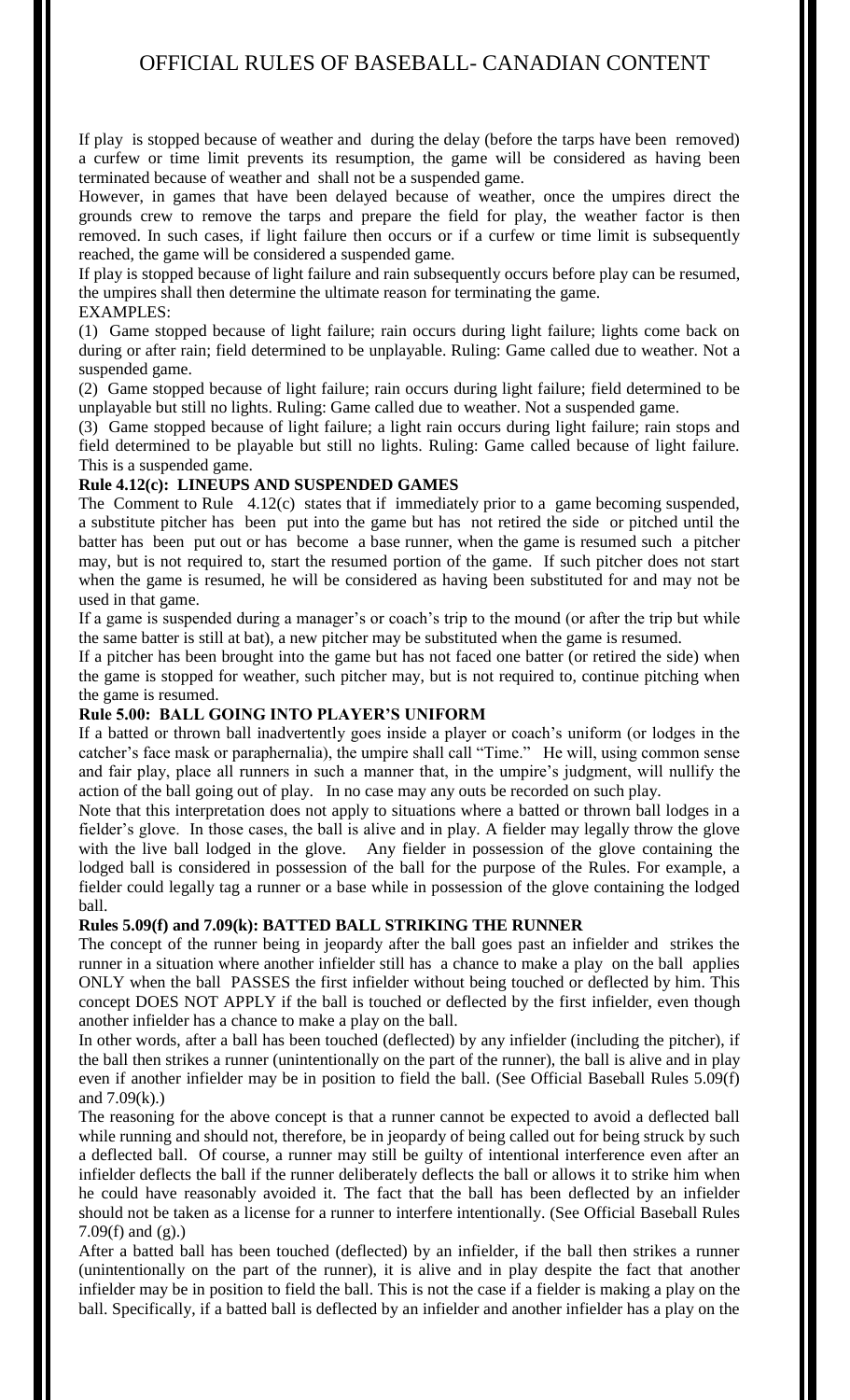If play is stopped because of weather and during the delay (before the tarps have been removed) a curfew or time limit prevents its resumption, the game will be considered as having been terminated because of weather and shall not be a suspended game.

However, in games that have been delayed because of weather, once the umpires direct the grounds crew to remove the tarps and prepare the field for play, the weather factor is then removed. In such cases, if light failure then occurs or if a curfew or time limit is subsequently reached, the game will be considered a suspended game.

If play is stopped because of light failure and rain subsequently occurs before play can be resumed, the umpires shall then determine the ultimate reason for terminating the game.

## EXAMPLES:

(1) Game stopped because of light failure; rain occurs during light failure; lights come back on during or after rain; field determined to be unplayable. Ruling: Game called due to weather. Not a suspended game.

(2) Game stopped because of light failure; rain occurs during light failure; field determined to be unplayable but still no lights. Ruling: Game called due to weather. Not a suspended game.

(3) Game stopped because of light failure; a light rain occurs during light failure; rain stops and field determined to be playable but still no lights. Ruling: Game called because of light failure. This is a suspended game.

## **Rule 4.12(c): LINEUPS AND SUSPENDED GAMES**

The Comment to Rule 4.12(c) states that if immediately prior to a game becoming suspended, a substitute pitcher has been put into the game but has not retired the side or pitched until the batter has been put out or has become a base runner, when the game is resumed such a pitcher may, but is not required to, start the resumed portion of the game. If such pitcher does not start when the game is resumed, he will be considered as having been substituted for and may not be used in that game.

If a game is suspended during a manager's or coach's trip to the mound (or after the trip but while the same batter is still at bat), a new pitcher may be substituted when the game is resumed.

If a pitcher has been brought into the game but has not faced one batter (or retired the side) when the game is stopped for weather, such pitcher may, but is not required to, continue pitching when the game is resumed.

## **Rule 5.00: BALL GOING INTO PLAYER'S UNIFORM**

If a batted or thrown ball inadvertently goes inside a player or coach's uniform (or lodges in the catcher's face mask or paraphernalia), the umpire shall call "Time." He will, using common sense and fair play, place all runners in such a manner that, in the umpire's judgment, will nullify the action of the ball going out of play. In no case may any outs be recorded on such play.

Note that this interpretation does not apply to situations where a batted or thrown ball lodges in a fielder's glove. In those cases, the ball is alive and in play. A fielder may legally throw the glove with the live ball lodged in the glove. Any fielder in possession of the glove containing the lodged ball is considered in possession of the ball for the purpose of the Rules. For example, a fielder could legally tag a runner or a base while in possession of the glove containing the lodged ball.

## **Rules 5.09(f) and 7.09(k): BATTED BALL STRIKING THE RUNNER**

The concept of the runner being in jeopardy after the ball goes past an infielder and strikes the runner in a situation where another infielder still has a chance to make a play on the ball applies ONLY when the ball PASSES the first infielder without being touched or deflected by him. This concept DOES NOT APPLY if the ball is touched or deflected by the first infielder, even though another infielder has a chance to make a play on the ball.

In other words, after a ball has been touched (deflected) by any infielder (including the pitcher), if the ball then strikes a runner (unintentionally on the part of the runner), the ball is alive and in play even if another infielder may be in position to field the ball. (See Official Baseball Rules 5.09(f) and  $7.09(k)$ .)

The reasoning for the above concept is that a runner cannot be expected to avoid a deflected ball while running and should not, therefore, be in jeopardy of being called out for being struck by such a deflected ball. Of course, a runner may still be guilty of intentional interference even after an infielder deflects the ball if the runner deliberately deflects the ball or allows it to strike him when he could have reasonably avoided it. The fact that the ball has been deflected by an infielder should not be taken as a license for a runner to interfere intentionally. (See Official Baseball Rules 7.09(f) and (g).)

After a batted ball has been touched (deflected) by an infielder, if the ball then strikes a runner (unintentionally on the part of the runner), it is alive and in play despite the fact that another infielder may be in position to field the ball. This is not the case if a fielder is making a play on the ball. Specifically, if a batted ball is deflected by an infielder and another infielder has a play on the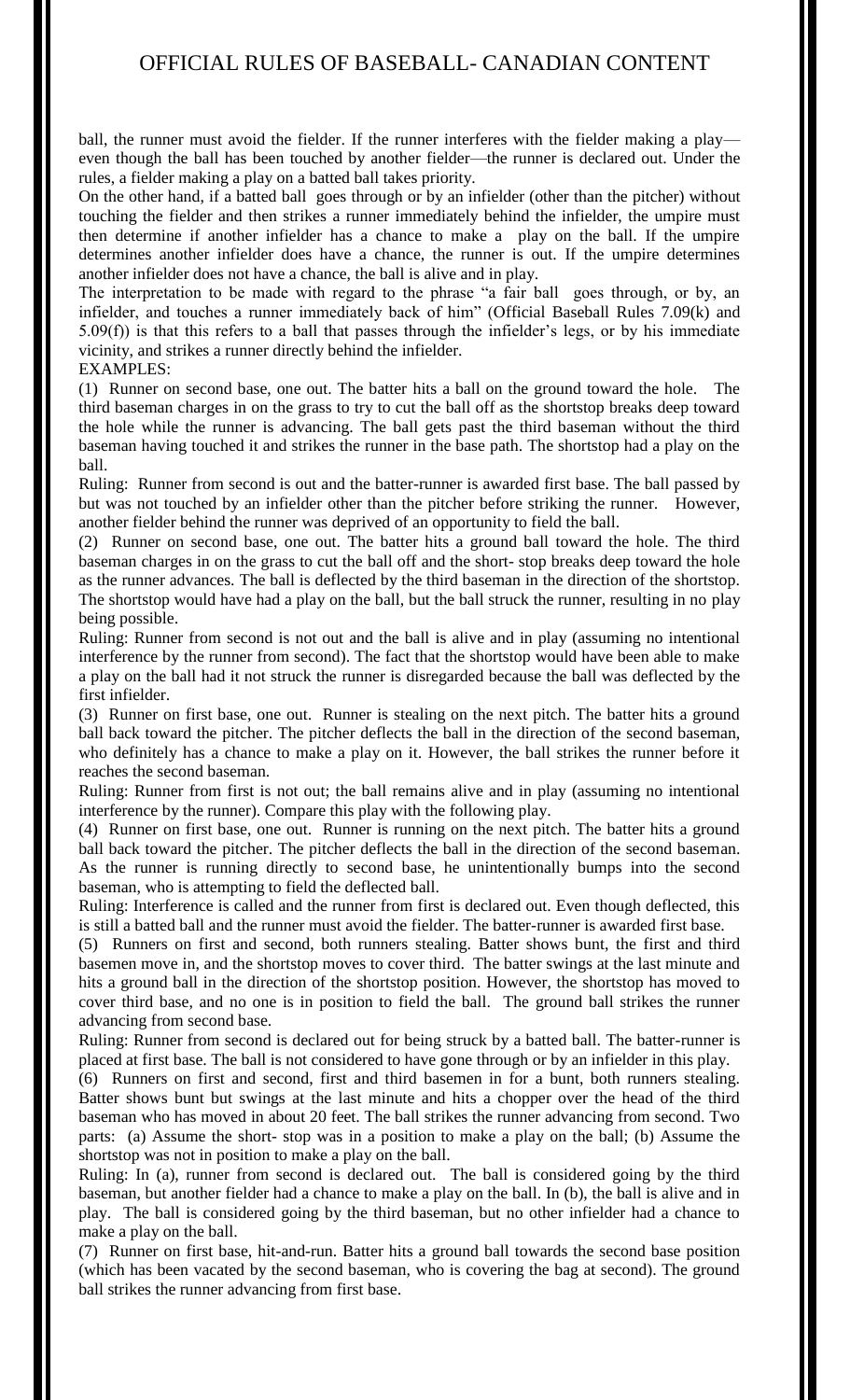ball, the runner must avoid the fielder. If the runner interferes with the fielder making a play even though the ball has been touched by another fielder—the runner is declared out. Under the rules, a fielder making a play on a batted ball takes priority.

On the other hand, if a batted ball goes through or by an infielder (other than the pitcher) without touching the fielder and then strikes a runner immediately behind the infielder, the umpire must then determine if another infielder has a chance to make a play on the ball. If the umpire determines another infielder does have a chance, the runner is out. If the umpire determines another infielder does not have a chance, the ball is alive and in play.

The interpretation to be made with regard to the phrase "a fair ball goes through, or by, an infielder, and touches a runner immediately back of him" (Official Baseball Rules 7.09(k) and 5.09(f)) is that this refers to a ball that passes through the infielder's legs, or by his immediate vicinity, and strikes a runner directly behind the infielder.

#### EXAMPLES:

(1) Runner on second base, one out. The batter hits a ball on the ground toward the hole. The third baseman charges in on the grass to try to cut the ball off as the shortstop breaks deep toward the hole while the runner is advancing. The ball gets past the third baseman without the third baseman having touched it and strikes the runner in the base path. The shortstop had a play on the ball.

Ruling: Runner from second is out and the batter-runner is awarded first base. The ball passed by but was not touched by an infielder other than the pitcher before striking the runner. However, another fielder behind the runner was deprived of an opportunity to field the ball.

(2) Runner on second base, one out. The batter hits a ground ball toward the hole. The third baseman charges in on the grass to cut the ball off and the short- stop breaks deep toward the hole as the runner advances. The ball is deflected by the third baseman in the direction of the shortstop. The shortstop would have had a play on the ball, but the ball struck the runner, resulting in no play being possible.

Ruling: Runner from second is not out and the ball is alive and in play (assuming no intentional interference by the runner from second). The fact that the shortstop would have been able to make a play on the ball had it not struck the runner is disregarded because the ball was deflected by the first infielder.

(3) Runner on first base, one out. Runner is stealing on the next pitch. The batter hits a ground ball back toward the pitcher. The pitcher deflects the ball in the direction of the second baseman, who definitely has a chance to make a play on it. However, the ball strikes the runner before it reaches the second baseman.

Ruling: Runner from first is not out; the ball remains alive and in play (assuming no intentional interference by the runner). Compare this play with the following play.

(4) Runner on first base, one out. Runner is running on the next pitch. The batter hits a ground ball back toward the pitcher. The pitcher deflects the ball in the direction of the second baseman. As the runner is running directly to second base, he unintentionally bumps into the second baseman, who is attempting to field the deflected ball.

Ruling: Interference is called and the runner from first is declared out. Even though deflected, this is still a batted ball and the runner must avoid the fielder. The batter-runner is awarded first base.

(5) Runners on first and second, both runners stealing. Batter shows bunt, the first and third basemen move in, and the shortstop moves to cover third. The batter swings at the last minute and hits a ground ball in the direction of the shortstop position. However, the shortstop has moved to cover third base, and no one is in position to field the ball. The ground ball strikes the runner advancing from second base.

Ruling: Runner from second is declared out for being struck by a batted ball. The batter-runner is placed at first base. The ball is not considered to have gone through or by an infielder in this play.

(6) Runners on first and second, first and third basemen in for a bunt, both runners stealing. Batter shows bunt but swings at the last minute and hits a chopper over the head of the third baseman who has moved in about 20 feet. The ball strikes the runner advancing from second. Two parts: (a) Assume the short- stop was in a position to make a play on the ball; (b) Assume the shortstop was not in position to make a play on the ball.

Ruling: In (a), runner from second is declared out. The ball is considered going by the third baseman, but another fielder had a chance to make a play on the ball. In (b), the ball is alive and in play. The ball is considered going by the third baseman, but no other infielder had a chance to make a play on the ball.

(7) Runner on first base, hit-and-run. Batter hits a ground ball towards the second base position (which has been vacated by the second baseman, who is covering the bag at second). The ground ball strikes the runner advancing from first base.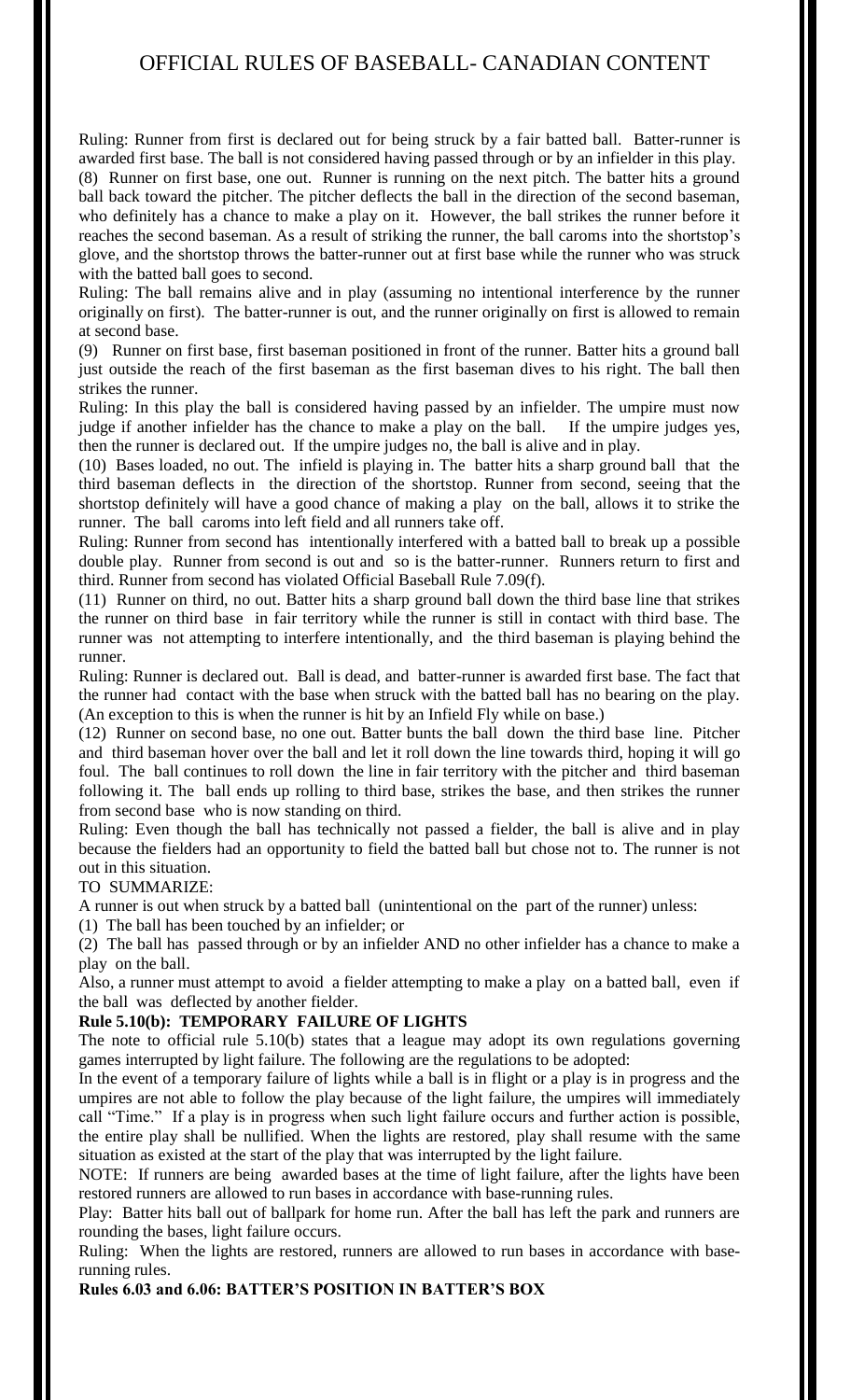Ruling: Runner from first is declared out for being struck by a fair batted ball. Batter-runner is awarded first base. The ball is not considered having passed through or by an infielder in this play. (8) Runner on first base, one out. Runner is running on the next pitch. The batter hits a ground ball back toward the pitcher. The pitcher deflects the ball in the direction of the second baseman, who definitely has a chance to make a play on it. However, the ball strikes the runner before it reaches the second baseman. As a result of striking the runner, the ball caroms into the shortstop's glove, and the shortstop throws the batter-runner out at first base while the runner who was struck with the batted ball goes to second.

Ruling: The ball remains alive and in play (assuming no intentional interference by the runner originally on first). The batter-runner is out, and the runner originally on first is allowed to remain at second base.

(9) Runner on first base, first baseman positioned in front of the runner. Batter hits a ground ball just outside the reach of the first baseman as the first baseman dives to his right. The ball then strikes the runner.

Ruling: In this play the ball is considered having passed by an infielder. The umpire must now judge if another infielder has the chance to make a play on the ball. If the umpire judges yes, then the runner is declared out. If the umpire judges no, the ball is alive and in play.

(10) Bases loaded, no out. The infield is playing in. The batter hits a sharp ground ball that the third baseman deflects in the direction of the shortstop. Runner from second, seeing that the shortstop definitely will have a good chance of making a play on the ball, allows it to strike the runner. The ball caroms into left field and all runners take off.

Ruling: Runner from second has intentionally interfered with a batted ball to break up a possible double play. Runner from second is out and so is the batter-runner. Runners return to first and third. Runner from second has violated Official Baseball Rule 7.09(f).

(11) Runner on third, no out. Batter hits a sharp ground ball down the third base line that strikes the runner on third base in fair territory while the runner is still in contact with third base. The runner was not attempting to interfere intentionally, and the third baseman is playing behind the runner.

Ruling: Runner is declared out. Ball is dead, and batter-runner is awarded first base. The fact that the runner had contact with the base when struck with the batted ball has no bearing on the play. (An exception to this is when the runner is hit by an Infield Fly while on base.)

(12) Runner on second base, no one out. Batter bunts the ball down the third base line. Pitcher and third baseman hover over the ball and let it roll down the line towards third, hoping it will go foul. The ball continues to roll down the line in fair territory with the pitcher and third baseman following it. The ball ends up rolling to third base, strikes the base, and then strikes the runner from second base who is now standing on third.

Ruling: Even though the ball has technically not passed a fielder, the ball is alive and in play because the fielders had an opportunity to field the batted ball but chose not to. The runner is not out in this situation.

## TO SUMMARIZE:

A runner is out when struck by a batted ball (unintentional on the part of the runner) unless:

(1) The ball has been touched by an infielder; or

(2) The ball has passed through or by an infielder AND no other infielder has a chance to make a play on the ball.

Also, a runner must attempt to avoid a fielder attempting to make a play on a batted ball, even if the ball was deflected by another fielder.

## **Rule 5.10(b): TEMPORARY FAILURE OF LIGHTS**

The note to official rule 5.10(b) states that a league may adopt its own regulations governing games interrupted by light failure. The following are the regulations to be adopted:

In the event of a temporary failure of lights while a ball is in flight or a play is in progress and the umpires are not able to follow the play because of the light failure, the umpires will immediately call "Time." If a play is in progress when such light failure occurs and further action is possible, the entire play shall be nullified. When the lights are restored, play shall resume with the same situation as existed at the start of the play that was interrupted by the light failure.

NOTE: If runners are being awarded bases at the time of light failure, after the lights have been restored runners are allowed to run bases in accordance with base-running rules.

Play: Batter hits ball out of ballpark for home run. After the ball has left the park and runners are rounding the bases, light failure occurs.

Ruling: When the lights are restored, runners are allowed to run bases in accordance with baserunning rules.

**Rules 6.03 and 6.06: BATTER'S POSITION IN BATTER'S BOX**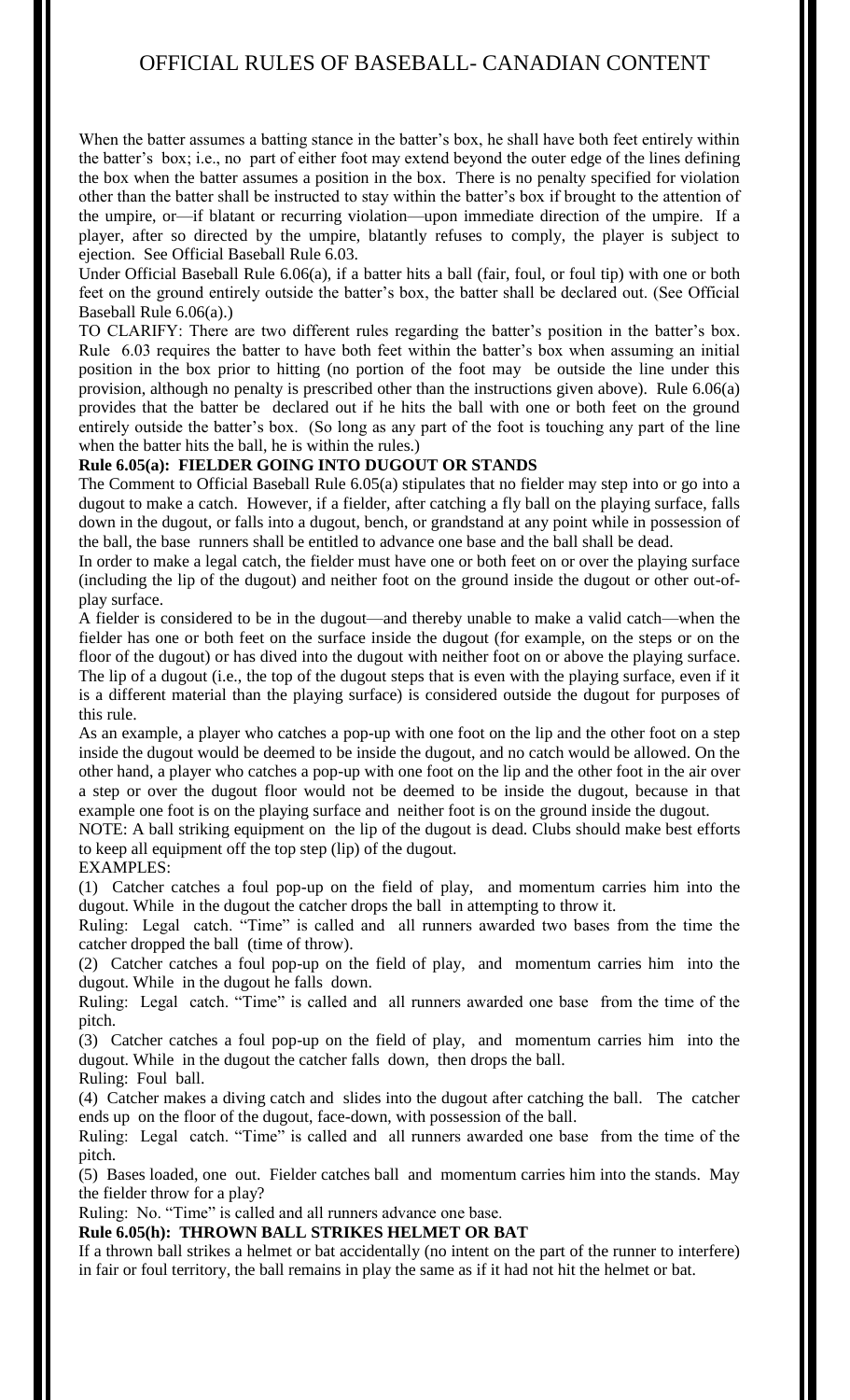When the batter assumes a batting stance in the batter's box, he shall have both feet entirely within the batter's box; i.e., no part of either foot may extend beyond the outer edge of the lines defining the box when the batter assumes a position in the box. There is no penalty specified for violation other than the batter shall be instructed to stay within the batter's box if brought to the attention of the umpire, or—if blatant or recurring violation—upon immediate direction of the umpire. If a player, after so directed by the umpire, blatantly refuses to comply, the player is subject to ejection. See Official Baseball Rule 6.03.

Under Official Baseball Rule 6.06(a), if a batter hits a ball (fair, foul, or foul tip) with one or both feet on the ground entirely outside the batter's box, the batter shall be declared out. (See Official Baseball Rule 6.06(a).)

TO CLARIFY: There are two different rules regarding the batter's position in the batter's box. Rule 6.03 requires the batter to have both feet within the batter's box when assuming an initial position in the box prior to hitting (no portion of the foot may be outside the line under this provision, although no penalty is prescribed other than the instructions given above). Rule 6.06(a) provides that the batter be declared out if he hits the ball with one or both feet on the ground entirely outside the batter's box. (So long as any part of the foot is touching any part of the line when the batter hits the ball, he is within the rules.)

## **Rule 6.05(a): FIELDER GOING INTO DUGOUT OR STANDS**

The Comment to Official Baseball Rule 6.05(a) stipulates that no fielder may step into or go into a dugout to make a catch. However, if a fielder, after catching a fly ball on the playing surface, falls down in the dugout, or falls into a dugout, bench, or grandstand at any point while in possession of the ball, the base runners shall be entitled to advance one base and the ball shall be dead.

In order to make a legal catch, the fielder must have one or both feet on or over the playing surface (including the lip of the dugout) and neither foot on the ground inside the dugout or other out-ofplay surface.

A fielder is considered to be in the dugout—and thereby unable to make a valid catch—when the fielder has one or both feet on the surface inside the dugout (for example, on the steps or on the floor of the dugout) or has dived into the dugout with neither foot on or above the playing surface. The lip of a dugout (i.e., the top of the dugout steps that is even with the playing surface, even if it is a different material than the playing surface) is considered outside the dugout for purposes of this rule.

As an example, a player who catches a pop-up with one foot on the lip and the other foot on a step inside the dugout would be deemed to be inside the dugout, and no catch would be allowed. On the other hand, a player who catches a pop-up with one foot on the lip and the other foot in the air over a step or over the dugout floor would not be deemed to be inside the dugout, because in that example one foot is on the playing surface and neither foot is on the ground inside the dugout.

NOTE: A ball striking equipment on the lip of the dugout is dead. Clubs should make best efforts to keep all equipment off the top step (lip) of the dugout.

## EXAMPLES:

(1) Catcher catches a foul pop-up on the field of play, and momentum carries him into the dugout. While in the dugout the catcher drops the ball in attempting to throw it.

Ruling: Legal catch. "Time" is called and all runners awarded two bases from the time the catcher dropped the ball (time of throw).

(2) Catcher catches a foul pop-up on the field of play, and momentum carries him into the dugout. While in the dugout he falls down.

Ruling: Legal catch. "Time" is called and all runners awarded one base from the time of the pitch.

(3) Catcher catches a foul pop-up on the field of play, and momentum carries him into the dugout. While in the dugout the catcher falls down, then drops the ball. Ruling: Foul ball.

(4) Catcher makes a diving catch and slides into the dugout after catching the ball. The catcher ends up on the floor of the dugout, face-down, with possession of the ball.

Ruling: Legal catch. "Time" is called and all runners awarded one base from the time of the pitch.

(5) Bases loaded, one out. Fielder catches ball and momentum carries him into the stands. May the fielder throw for a play?

Ruling: No. "Time" is called and all runners advance one base.

**Rule 6.05(h): THROWN BALL STRIKES HELMET OR BAT**

If a thrown ball strikes a helmet or bat accidentally (no intent on the part of the runner to interfere) in fair or foul territory, the ball remains in play the same as if it had not hit the helmet or bat.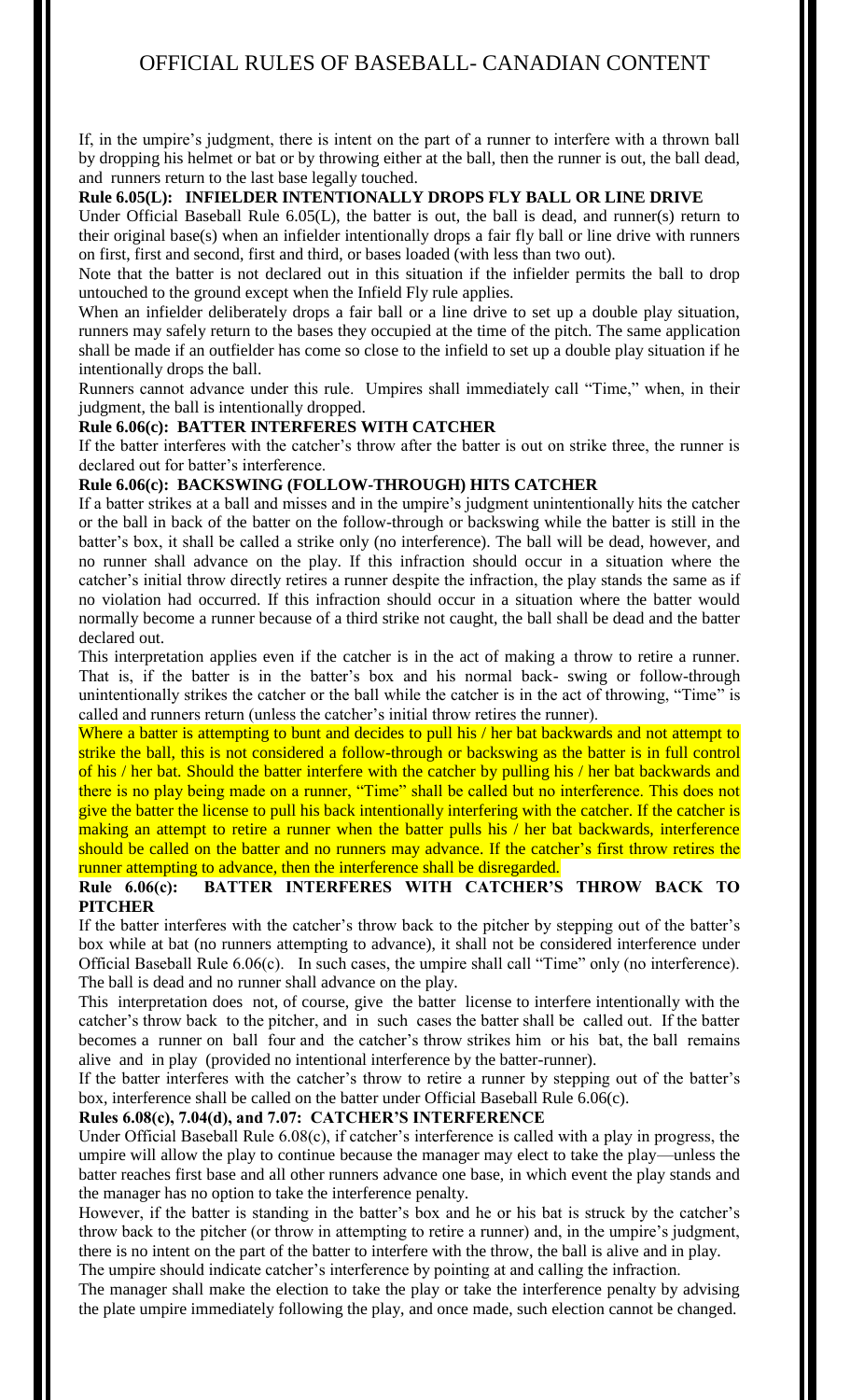If, in the umpire's judgment, there is intent on the part of a runner to interfere with a thrown ball by dropping his helmet or bat or by throwing either at the ball, then the runner is out, the ball dead, and runners return to the last base legally touched.

## **Rule 6.05(L): INFIELDER INTENTIONALLY DROPS FLY BALL OR LINE DRIVE**

Under Official Baseball Rule 6.05(L), the batter is out, the ball is dead, and runner(s) return to their original base(s) when an infielder intentionally drops a fair fly ball or line drive with runners on first, first and second, first and third, or bases loaded (with less than two out).

Note that the batter is not declared out in this situation if the infielder permits the ball to drop untouched to the ground except when the Infield Fly rule applies.

When an infielder deliberately drops a fair ball or a line drive to set up a double play situation, runners may safely return to the bases they occupied at the time of the pitch. The same application shall be made if an outfielder has come so close to the infield to set up a double play situation if he intentionally drops the ball.

Runners cannot advance under this rule. Umpires shall immediately call "Time," when, in their judgment, the ball is intentionally dropped.

## **Rule 6.06(c): BATTER INTERFERES WITH CATCHER**

If the batter interferes with the catcher's throw after the batter is out on strike three, the runner is declared out for batter's interference.

## **Rule 6.06(c): BACKSWING (FOLLOW-THROUGH) HITS CATCHER**

If a batter strikes at a ball and misses and in the umpire's judgment unintentionally hits the catcher or the ball in back of the batter on the follow-through or backswing while the batter is still in the batter's box, it shall be called a strike only (no interference). The ball will be dead, however, and no runner shall advance on the play. If this infraction should occur in a situation where the catcher's initial throw directly retires a runner despite the infraction, the play stands the same as if no violation had occurred. If this infraction should occur in a situation where the batter would normally become a runner because of a third strike not caught, the ball shall be dead and the batter declared out.

This interpretation applies even if the catcher is in the act of making a throw to retire a runner. That is, if the batter is in the batter's box and his normal back- swing or follow-through unintentionally strikes the catcher or the ball while the catcher is in the act of throwing, "Time" is called and runners return (unless the catcher's initial throw retires the runner).

Where a batter is attempting to bunt and decides to pull his / her bat backwards and not attempt to strike the ball, this is not considered a follow-through or backswing as the batter is in full control of his / her bat. Should the batter interfere with the catcher by pulling his / her bat backwards and there is no play being made on a runner, "Time" shall be called but no interference. This does not give the batter the license to pull his back intentionally interfering with the catcher. If the catcher is making an attempt to retire a runner when the batter pulls his / her bat backwards, interference should be called on the batter and no runners may advance. If the catcher's first throw retires the runner attempting to advance, then the interference shall be disregarded.

## **Rule 6.06(c): BATTER INTERFERES WITH CATCHER'S THROW BACK TO PITCHER**

If the batter interferes with the catcher's throw back to the pitcher by stepping out of the batter's box while at bat (no runners attempting to advance), it shall not be considered interference under Official Baseball Rule 6.06(c). In such cases, the umpire shall call "Time" only (no interference). The ball is dead and no runner shall advance on the play.

This interpretation does not, of course, give the batter license to interfere intentionally with the catcher's throw back to the pitcher, and in such cases the batter shall be called out. If the batter becomes a runner on ball four and the catcher's throw strikes him or his bat, the ball remains alive and in play (provided no intentional interference by the batter-runner).

If the batter interferes with the catcher's throw to retire a runner by stepping out of the batter's box, interference shall be called on the batter under Official Baseball Rule 6.06(c).

## **Rules 6.08(c), 7.04(d), and 7.07: CATCHER'S INTERFERENCE**

Under Official Baseball Rule 6.08(c), if catcher's interference is called with a play in progress, the umpire will allow the play to continue because the manager may elect to take the play—unless the batter reaches first base and all other runners advance one base, in which event the play stands and the manager has no option to take the interference penalty.

However, if the batter is standing in the batter's box and he or his bat is struck by the catcher's throw back to the pitcher (or throw in attempting to retire a runner) and, in the umpire's judgment, there is no intent on the part of the batter to interfere with the throw, the ball is alive and in play.

The umpire should indicate catcher's interference by pointing at and calling the infraction.

The manager shall make the election to take the play or take the interference penalty by advising the plate umpire immediately following the play, and once made, such election cannot be changed.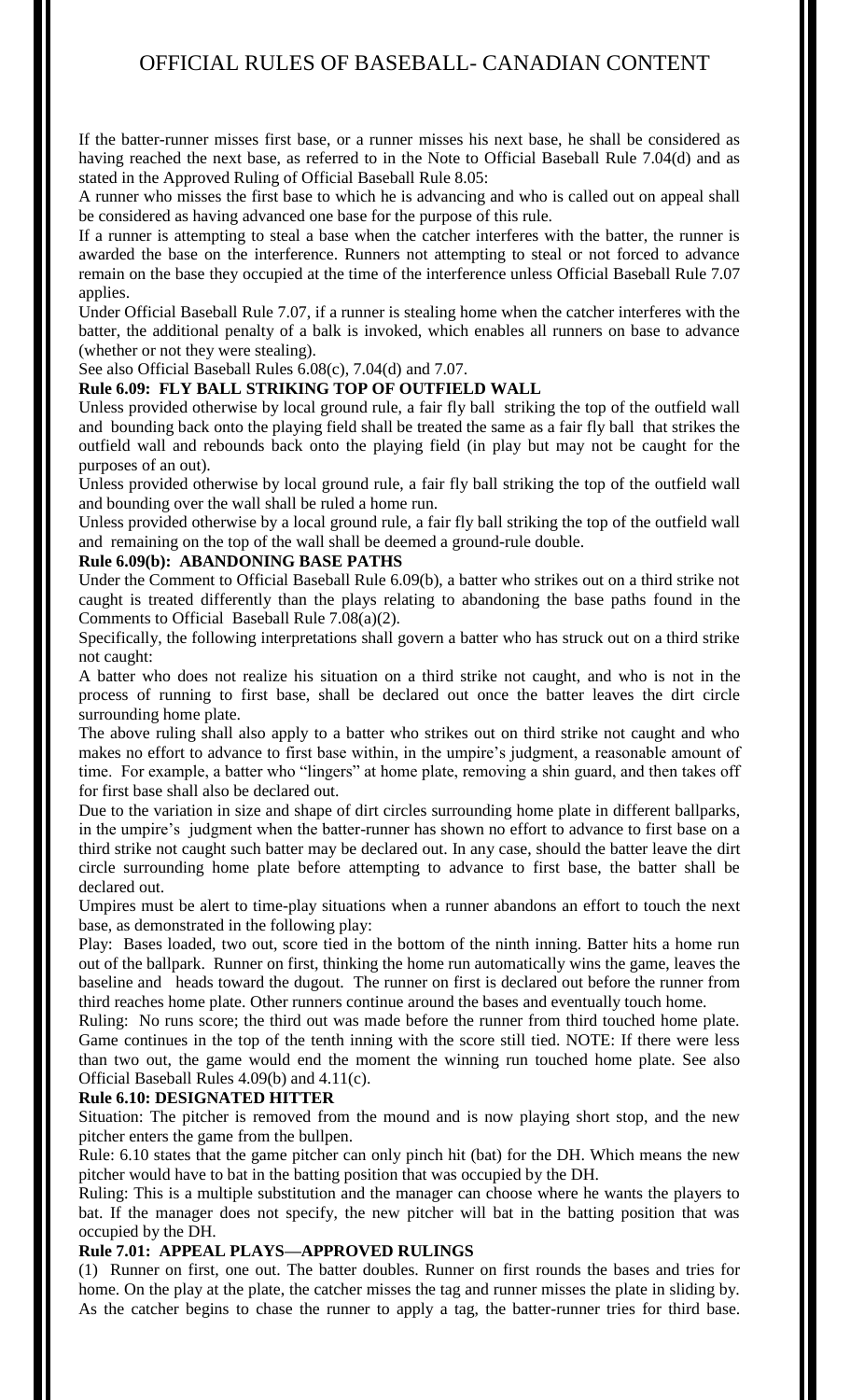If the batter-runner misses first base, or a runner misses his next base, he shall be considered as having reached the next base, as referred to in the Note to Official Baseball Rule 7.04(d) and as stated in the Approved Ruling of Official Baseball Rule 8.05:

A runner who misses the first base to which he is advancing and who is called out on appeal shall be considered as having advanced one base for the purpose of this rule.

If a runner is attempting to steal a base when the catcher interferes with the batter, the runner is awarded the base on the interference. Runners not attempting to steal or not forced to advance remain on the base they occupied at the time of the interference unless Official Baseball Rule 7.07 applies.

Under Official Baseball Rule 7.07, if a runner is stealing home when the catcher interferes with the batter, the additional penalty of a balk is invoked, which enables all runners on base to advance (whether or not they were stealing).

See also Official Baseball Rules 6.08(c), 7.04(d) and 7.07.

## **Rule 6.09: FLY BALL STRIKING TOP OF OUTFIELD WALL**

Unless provided otherwise by local ground rule, a fair fly ball striking the top of the outfield wall and bounding back onto the playing field shall be treated the same as a fair fly ball that strikes the outfield wall and rebounds back onto the playing field (in play but may not be caught for the purposes of an out).

Unless provided otherwise by local ground rule, a fair fly ball striking the top of the outfield wall and bounding over the wall shall be ruled a home run.

Unless provided otherwise by a local ground rule, a fair fly ball striking the top of the outfield wall and remaining on the top of the wall shall be deemed a ground-rule double.

#### **Rule 6.09(b): ABANDONING BASE PATHS**

Under the Comment to Official Baseball Rule 6.09(b), a batter who strikes out on a third strike not caught is treated differently than the plays relating to abandoning the base paths found in the Comments to Official Baseball Rule 7.08(a)(2).

Specifically, the following interpretations shall govern a batter who has struck out on a third strike not caught:

A batter who does not realize his situation on a third strike not caught, and who is not in the process of running to first base, shall be declared out once the batter leaves the dirt circle surrounding home plate.

The above ruling shall also apply to a batter who strikes out on third strike not caught and who makes no effort to advance to first base within, in the umpire's judgment, a reasonable amount of time. For example, a batter who "lingers" at home plate, removing a shin guard, and then takes off for first base shall also be declared out.

Due to the variation in size and shape of dirt circles surrounding home plate in different ballparks, in the umpire's judgment when the batter-runner has shown no effort to advance to first base on a third strike not caught such batter may be declared out. In any case, should the batter leave the dirt circle surrounding home plate before attempting to advance to first base, the batter shall be declared out.

Umpires must be alert to time-play situations when a runner abandons an effort to touch the next base, as demonstrated in the following play:

Play: Bases loaded, two out, score tied in the bottom of the ninth inning. Batter hits a home run out of the ballpark. Runner on first, thinking the home run automatically wins the game, leaves the baseline and heads toward the dugout. The runner on first is declared out before the runner from third reaches home plate. Other runners continue around the bases and eventually touch home.

Ruling: No runs score; the third out was made before the runner from third touched home plate. Game continues in the top of the tenth inning with the score still tied. NOTE: If there were less than two out, the game would end the moment the winning run touched home plate. See also Official Baseball Rules 4.09(b) and 4.11(c).

#### **Rule 6.10: DESIGNATED HITTER**

Situation: The pitcher is removed from the mound and is now playing short stop, and the new pitcher enters the game from the bullpen.

Rule: 6.10 states that the game pitcher can only pinch hit (bat) for the DH. Which means the new pitcher would have to bat in the batting position that was occupied by the DH.

Ruling: This is a multiple substitution and the manager can choose where he wants the players to bat. If the manager does not specify, the new pitcher will bat in the batting position that was occupied by the DH.

## **Rule 7.01: APPEAL PLAYS—APPROVED RULINGS**

(1) Runner on first, one out. The batter doubles. Runner on first rounds the bases and tries for home. On the play at the plate, the catcher misses the tag and runner misses the plate in sliding by. As the catcher begins to chase the runner to apply a tag, the batter-runner tries for third base.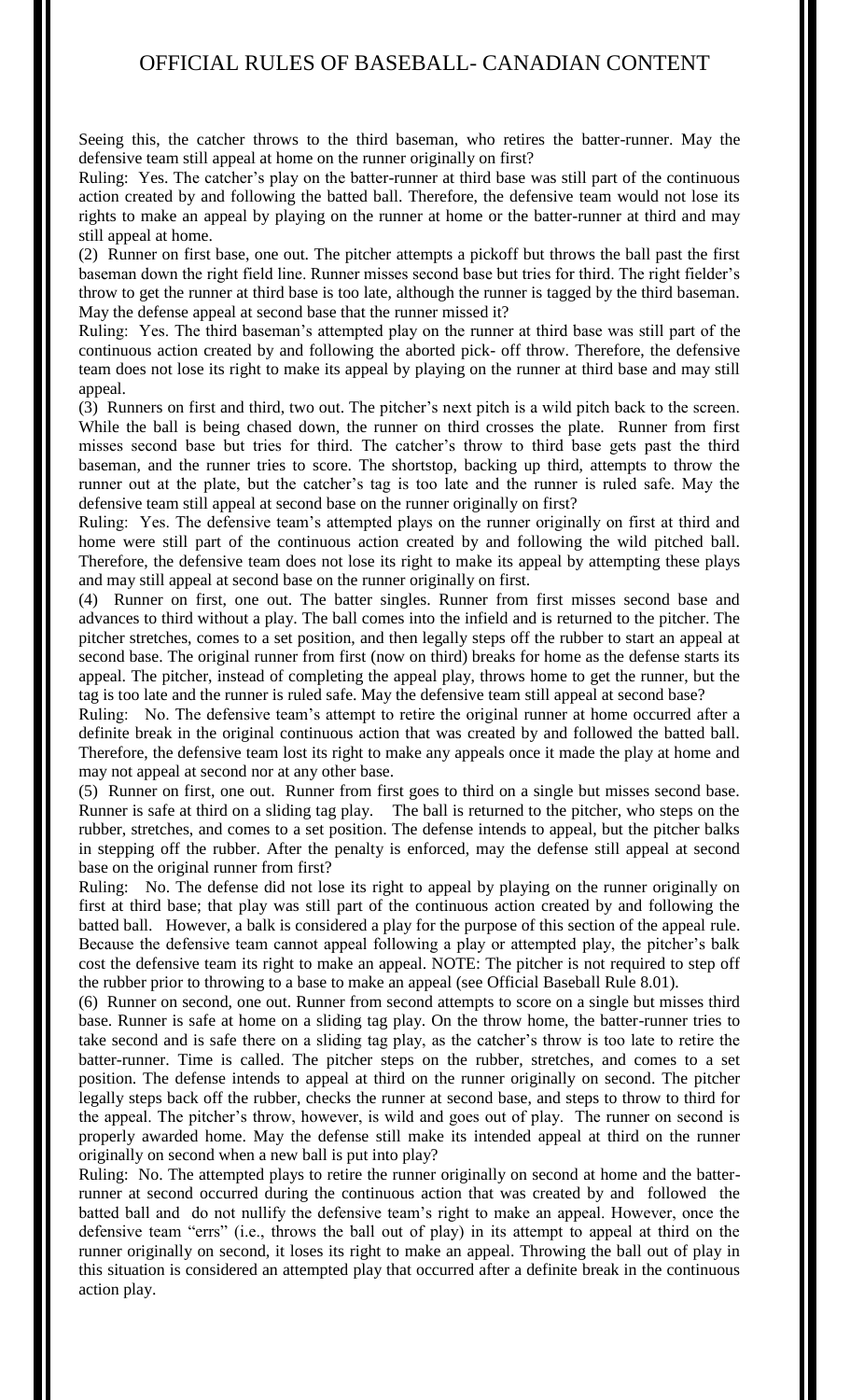Seeing this, the catcher throws to the third baseman, who retires the batter-runner. May the defensive team still appeal at home on the runner originally on first?

Ruling: Yes. The catcher's play on the batter-runner at third base was still part of the continuous action created by and following the batted ball. Therefore, the defensive team would not lose its rights to make an appeal by playing on the runner at home or the batter-runner at third and may still appeal at home.

(2) Runner on first base, one out. The pitcher attempts a pickoff but throws the ball past the first baseman down the right field line. Runner misses second base but tries for third. The right fielder's throw to get the runner at third base is too late, although the runner is tagged by the third baseman. May the defense appeal at second base that the runner missed it?

Ruling: Yes. The third baseman's attempted play on the runner at third base was still part of the continuous action created by and following the aborted pick- off throw. Therefore, the defensive team does not lose its right to make its appeal by playing on the runner at third base and may still appeal.

(3) Runners on first and third, two out. The pitcher's next pitch is a wild pitch back to the screen. While the ball is being chased down, the runner on third crosses the plate. Runner from first misses second base but tries for third. The catcher's throw to third base gets past the third baseman, and the runner tries to score. The shortstop, backing up third, attempts to throw the runner out at the plate, but the catcher's tag is too late and the runner is ruled safe. May the defensive team still appeal at second base on the runner originally on first?

Ruling: Yes. The defensive team's attempted plays on the runner originally on first at third and home were still part of the continuous action created by and following the wild pitched ball. Therefore, the defensive team does not lose its right to make its appeal by attempting these plays and may still appeal at second base on the runner originally on first.

(4) Runner on first, one out. The batter singles. Runner from first misses second base and advances to third without a play. The ball comes into the infield and is returned to the pitcher. The pitcher stretches, comes to a set position, and then legally steps off the rubber to start an appeal at second base. The original runner from first (now on third) breaks for home as the defense starts its appeal. The pitcher, instead of completing the appeal play, throws home to get the runner, but the tag is too late and the runner is ruled safe. May the defensive team still appeal at second base?

Ruling: No. The defensive team's attempt to retire the original runner at home occurred after a definite break in the original continuous action that was created by and followed the batted ball. Therefore, the defensive team lost its right to make any appeals once it made the play at home and may not appeal at second nor at any other base.

(5) Runner on first, one out. Runner from first goes to third on a single but misses second base. Runner is safe at third on a sliding tag play. The ball is returned to the pitcher, who steps on the rubber, stretches, and comes to a set position. The defense intends to appeal, but the pitcher balks in stepping off the rubber. After the penalty is enforced, may the defense still appeal at second base on the original runner from first?

Ruling: No. The defense did not lose its right to appeal by playing on the runner originally on first at third base; that play was still part of the continuous action created by and following the batted ball. However, a balk is considered a play for the purpose of this section of the appeal rule. Because the defensive team cannot appeal following a play or attempted play, the pitcher's balk cost the defensive team its right to make an appeal. NOTE: The pitcher is not required to step off the rubber prior to throwing to a base to make an appeal (see Official Baseball Rule 8.01).

(6) Runner on second, one out. Runner from second attempts to score on a single but misses third base. Runner is safe at home on a sliding tag play. On the throw home, the batter-runner tries to take second and is safe there on a sliding tag play, as the catcher's throw is too late to retire the batter-runner. Time is called. The pitcher steps on the rubber, stretches, and comes to a set position. The defense intends to appeal at third on the runner originally on second. The pitcher legally steps back off the rubber, checks the runner at second base, and steps to throw to third for the appeal. The pitcher's throw, however, is wild and goes out of play. The runner on second is properly awarded home. May the defense still make its intended appeal at third on the runner originally on second when a new ball is put into play?

Ruling: No. The attempted plays to retire the runner originally on second at home and the batterrunner at second occurred during the continuous action that was created by and followed the batted ball and do not nullify the defensive team's right to make an appeal. However, once the defensive team "errs" (i.e., throws the ball out of play) in its attempt to appeal at third on the runner originally on second, it loses its right to make an appeal. Throwing the ball out of play in this situation is considered an attempted play that occurred after a definite break in the continuous action play.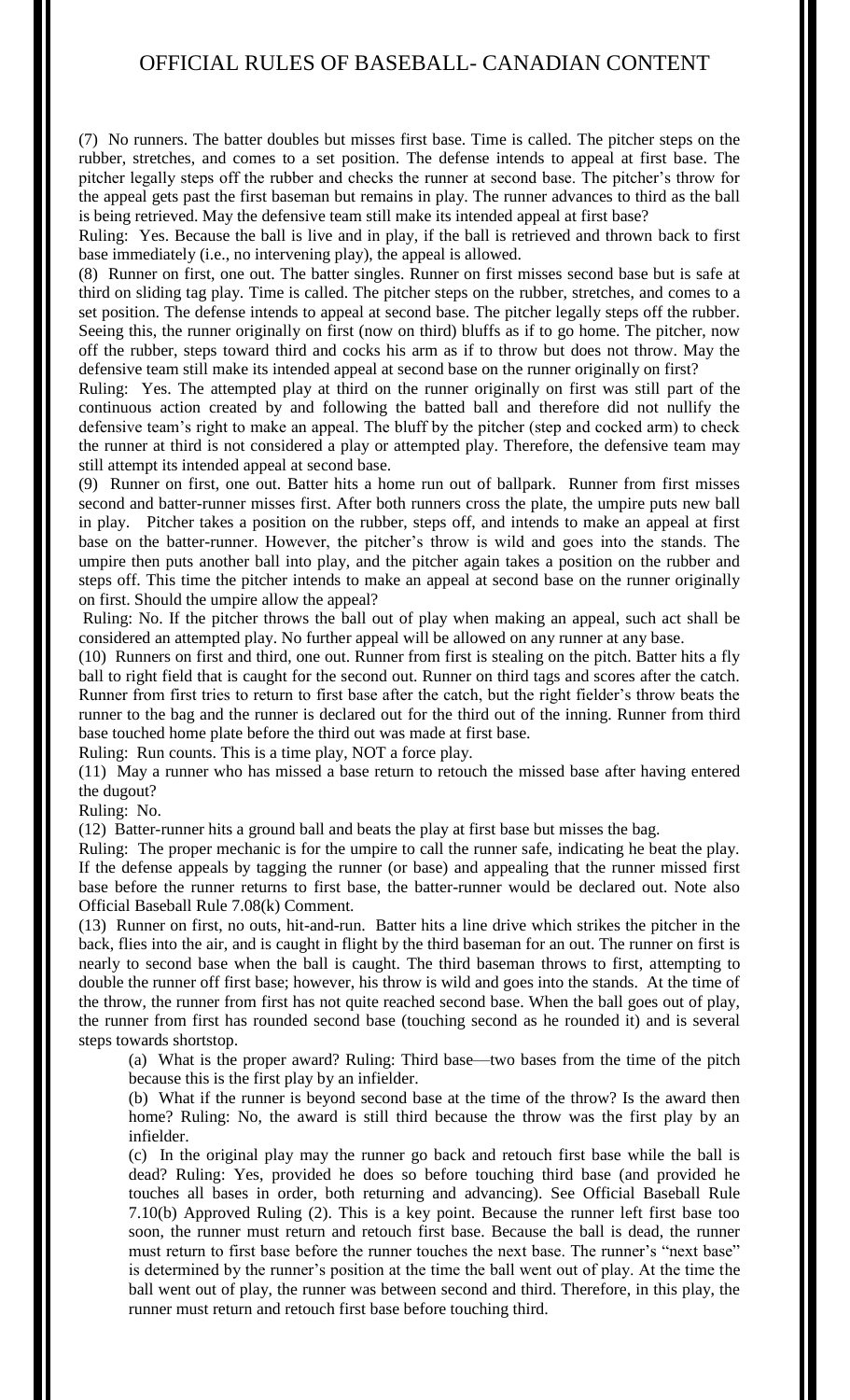(7) No runners. The batter doubles but misses first base. Time is called. The pitcher steps on the rubber, stretches, and comes to a set position. The defense intends to appeal at first base. The pitcher legally steps off the rubber and checks the runner at second base. The pitcher's throw for the appeal gets past the first baseman but remains in play. The runner advances to third as the ball is being retrieved. May the defensive team still make its intended appeal at first base?

Ruling: Yes. Because the ball is live and in play, if the ball is retrieved and thrown back to first base immediately (i.e., no intervening play), the appeal is allowed.

(8) Runner on first, one out. The batter singles. Runner on first misses second base but is safe at third on sliding tag play. Time is called. The pitcher steps on the rubber, stretches, and comes to a set position. The defense intends to appeal at second base. The pitcher legally steps off the rubber. Seeing this, the runner originally on first (now on third) bluffs as if to go home. The pitcher, now off the rubber, steps toward third and cocks his arm as if to throw but does not throw. May the defensive team still make its intended appeal at second base on the runner originally on first?

Ruling: Yes. The attempted play at third on the runner originally on first was still part of the continuous action created by and following the batted ball and therefore did not nullify the defensive team's right to make an appeal. The bluff by the pitcher (step and cocked arm) to check the runner at third is not considered a play or attempted play. Therefore, the defensive team may still attempt its intended appeal at second base.

(9) Runner on first, one out. Batter hits a home run out of ballpark. Runner from first misses second and batter-runner misses first. After both runners cross the plate, the umpire puts new ball in play. Pitcher takes a position on the rubber, steps off, and intends to make an appeal at first base on the batter-runner. However, the pitcher's throw is wild and goes into the stands. The umpire then puts another ball into play, and the pitcher again takes a position on the rubber and steps off. This time the pitcher intends to make an appeal at second base on the runner originally on first. Should the umpire allow the appeal?

Ruling: No. If the pitcher throws the ball out of play when making an appeal, such act shall be considered an attempted play. No further appeal will be allowed on any runner at any base.

(10) Runners on first and third, one out. Runner from first is stealing on the pitch. Batter hits a fly ball to right field that is caught for the second out. Runner on third tags and scores after the catch. Runner from first tries to return to first base after the catch, but the right fielder's throw beats the runner to the bag and the runner is declared out for the third out of the inning. Runner from third base touched home plate before the third out was made at first base.

Ruling: Run counts. This is a time play, NOT a force play.

(11) May a runner who has missed a base return to retouch the missed base after having entered the dugout?

Ruling: No.

(12) Batter-runner hits a ground ball and beats the play at first base but misses the bag.

Ruling: The proper mechanic is for the umpire to call the runner safe, indicating he beat the play. If the defense appeals by tagging the runner (or base) and appealing that the runner missed first base before the runner returns to first base, the batter-runner would be declared out. Note also Official Baseball Rule 7.08(k) Comment.

(13) Runner on first, no outs, hit-and-run. Batter hits a line drive which strikes the pitcher in the back, flies into the air, and is caught in flight by the third baseman for an out. The runner on first is nearly to second base when the ball is caught. The third baseman throws to first, attempting to double the runner off first base; however, his throw is wild and goes into the stands. At the time of the throw, the runner from first has not quite reached second base. When the ball goes out of play, the runner from first has rounded second base (touching second as he rounded it) and is several steps towards shortstop.

(a) What is the proper award? Ruling: Third base—two bases from the time of the pitch because this is the first play by an infielder.

(b) What if the runner is beyond second base at the time of the throw? Is the award then home? Ruling: No, the award is still third because the throw was the first play by an infielder.

(c) In the original play may the runner go back and retouch first base while the ball is dead? Ruling: Yes, provided he does so before touching third base (and provided he touches all bases in order, both returning and advancing). See Official Baseball Rule 7.10(b) Approved Ruling (2). This is a key point. Because the runner left first base too soon, the runner must return and retouch first base. Because the ball is dead, the runner must return to first base before the runner touches the next base. The runner's "next base" is determined by the runner's position at the time the ball went out of play. At the time the ball went out of play, the runner was between second and third. Therefore, in this play, the runner must return and retouch first base before touching third.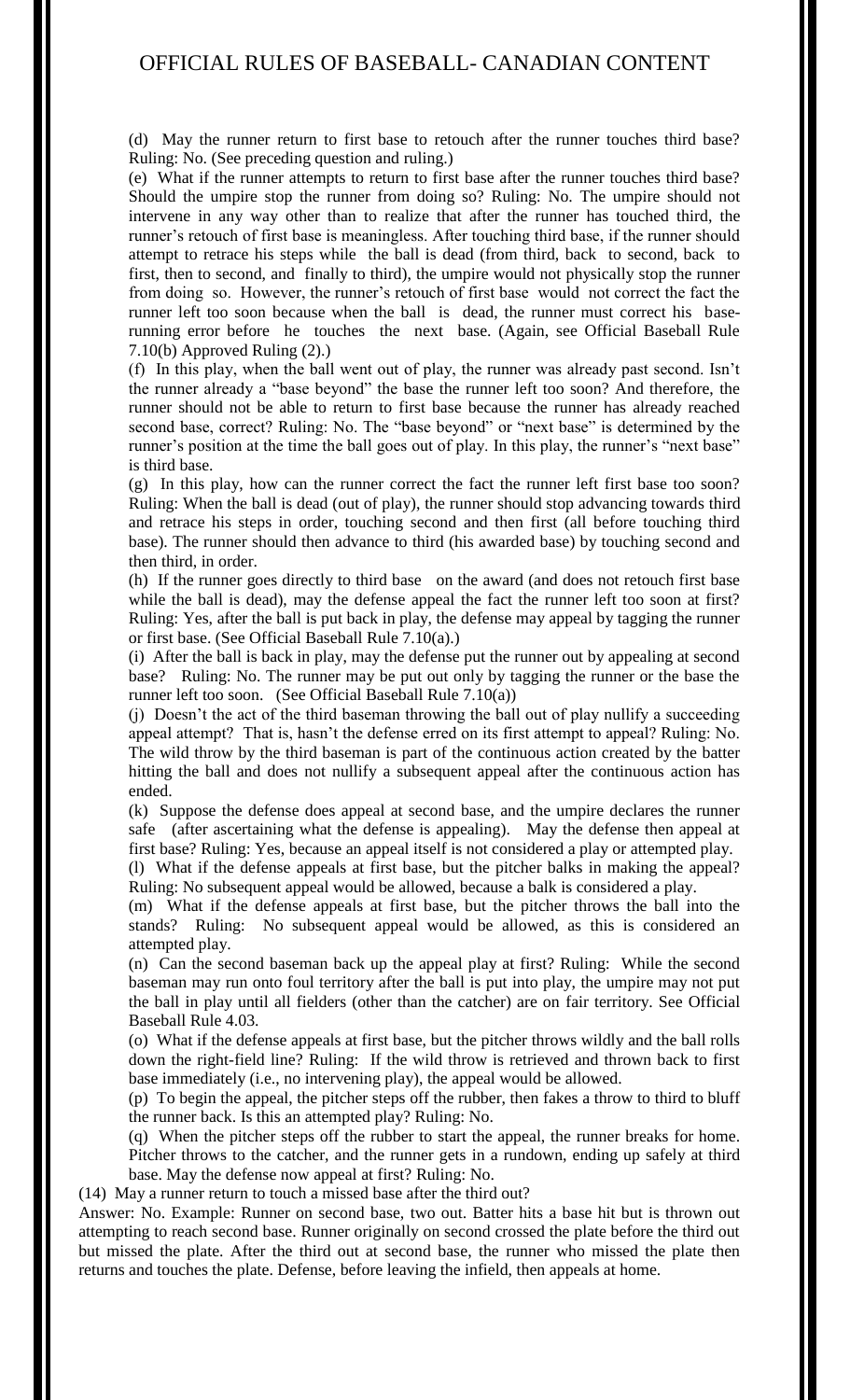(d) May the runner return to first base to retouch after the runner touches third base? Ruling: No. (See preceding question and ruling.)

(e) What if the runner attempts to return to first base after the runner touches third base? Should the umpire stop the runner from doing so? Ruling: No. The umpire should not intervene in any way other than to realize that after the runner has touched third, the runner's retouch of first base is meaningless. After touching third base, if the runner should attempt to retrace his steps while the ball is dead (from third, back to second, back to first, then to second, and finally to third), the umpire would not physically stop the runner from doing so. However, the runner's retouch of first base would not correct the fact the runner left too soon because when the ball is dead, the runner must correct his baserunning error before he touches the next base. (Again, see Official Baseball Rule 7.10(b) Approved Ruling (2).)

(f) In this play, when the ball went out of play, the runner was already past second. Isn't the runner already a "base beyond" the base the runner left too soon? And therefore, the runner should not be able to return to first base because the runner has already reached second base, correct? Ruling: No. The "base beyond" or "next base" is determined by the runner's position at the time the ball goes out of play. In this play, the runner's "next base" is third base.

(g) In this play, how can the runner correct the fact the runner left first base too soon? Ruling: When the ball is dead (out of play), the runner should stop advancing towards third and retrace his steps in order, touching second and then first (all before touching third base). The runner should then advance to third (his awarded base) by touching second and then third, in order.

(h) If the runner goes directly to third base on the award (and does not retouch first base while the ball is dead), may the defense appeal the fact the runner left too soon at first? Ruling: Yes, after the ball is put back in play, the defense may appeal by tagging the runner or first base. (See Official Baseball Rule 7.10(a).)

(i) After the ball is back in play, may the defense put the runner out by appealing at second base? Ruling: No. The runner may be put out only by tagging the runner or the base the runner left too soon. (See Official Baseball Rule 7.10(a))

(j) Doesn't the act of the third baseman throwing the ball out of play nullify a succeeding appeal attempt? That is, hasn't the defense erred on its first attempt to appeal? Ruling: No. The wild throw by the third baseman is part of the continuous action created by the batter hitting the ball and does not nullify a subsequent appeal after the continuous action has ended.

(k) Suppose the defense does appeal at second base, and the umpire declares the runner safe (after ascertaining what the defense is appealing). May the defense then appeal at first base? Ruling: Yes, because an appeal itself is not considered a play or attempted play. (l) What if the defense appeals at first base, but the pitcher balks in making the appeal?

Ruling: No subsequent appeal would be allowed, because a balk is considered a play.

(m) What if the defense appeals at first base, but the pitcher throws the ball into the stands? Ruling: No subsequent appeal would be allowed, as this is considered an attempted play.

(n) Can the second baseman back up the appeal play at first? Ruling: While the second baseman may run onto foul territory after the ball is put into play, the umpire may not put the ball in play until all fielders (other than the catcher) are on fair territory. See Official Baseball Rule 4.03.

(o) What if the defense appeals at first base, but the pitcher throws wildly and the ball rolls down the right-field line? Ruling: If the wild throw is retrieved and thrown back to first base immediately (i.e., no intervening play), the appeal would be allowed.

(p) To begin the appeal, the pitcher steps off the rubber, then fakes a throw to third to bluff the runner back. Is this an attempted play? Ruling: No.

(q) When the pitcher steps off the rubber to start the appeal, the runner breaks for home. Pitcher throws to the catcher, and the runner gets in a rundown, ending up safely at third base. May the defense now appeal at first? Ruling: No.

(14) May a runner return to touch a missed base after the third out?

Answer: No. Example: Runner on second base, two out. Batter hits a base hit but is thrown out attempting to reach second base. Runner originally on second crossed the plate before the third out but missed the plate. After the third out at second base, the runner who missed the plate then returns and touches the plate. Defense, before leaving the infield, then appeals at home.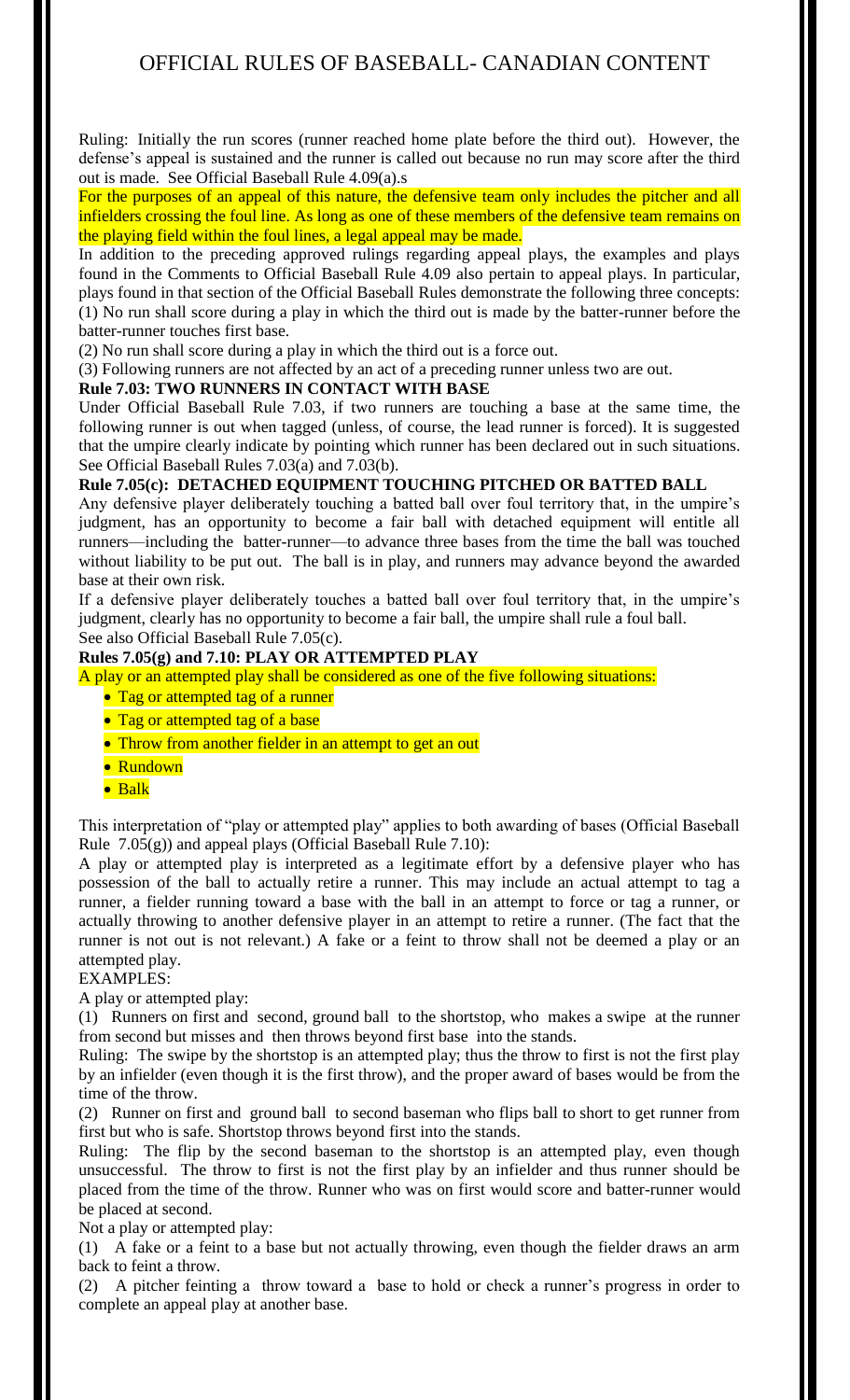Ruling: Initially the run scores (runner reached home plate before the third out). However, the defense's appeal is sustained and the runner is called out because no run may score after the third out is made. See Official Baseball Rule 4.09(a).s

For the purposes of an appeal of this nature, the defensive team only includes the pitcher and all infielders crossing the foul line. As long as one of these members of the defensive team remains on the playing field within the foul lines, a legal appeal may be made.

In addition to the preceding approved rulings regarding appeal plays, the examples and plays found in the Comments to Official Baseball Rule 4.09 also pertain to appeal plays. In particular, plays found in that section of the Official Baseball Rules demonstrate the following three concepts: (1) No run shall score during a play in which the third out is made by the batter-runner before the batter-runner touches first base.

(2) No run shall score during a play in which the third out is a force out.

(3) Following runners are not affected by an act of a preceding runner unless two are out.

## **Rule 7.03: TWO RUNNERS IN CONTACT WITH BASE**

Under Official Baseball Rule 7.03, if two runners are touching a base at the same time, the following runner is out when tagged (unless, of course, the lead runner is forced). It is suggested that the umpire clearly indicate by pointing which runner has been declared out in such situations. See Official Baseball Rules 7.03(a) and 7.03(b).

## **Rule 7.05(c): DETACHED EQUIPMENT TOUCHING PITCHED OR BATTED BALL**

Any defensive player deliberately touching a batted ball over foul territory that, in the umpire's judgment, has an opportunity to become a fair ball with detached equipment will entitle all runners—including the batter-runner—to advance three bases from the time the ball was touched without liability to be put out. The ball is in play, and runners may advance beyond the awarded base at their own risk.

If a defensive player deliberately touches a batted ball over foul territory that, in the umpire's judgment, clearly has no opportunity to become a fair ball, the umpire shall rule a foul ball. See also Official Baseball Rule 7.05(c).

## **Rules 7.05(g) and 7.10: PLAY OR ATTEMPTED PLAY**

A play or an attempted play shall be considered as one of the five following situations:

- Tag or attempted tag of a runner
- Tag or attempted tag of a base
- Throw from another fielder in an attempt to get an out
- Rundown
- Balk

This interpretation of "play or attempted play" applies to both awarding of bases (Official Baseball Rule 7.05(g)) and appeal plays (Official Baseball Rule 7.10):

A play or attempted play is interpreted as a legitimate effort by a defensive player who has possession of the ball to actually retire a runner. This may include an actual attempt to tag a runner, a fielder running toward a base with the ball in an attempt to force or tag a runner, or actually throwing to another defensive player in an attempt to retire a runner. (The fact that the runner is not out is not relevant.) A fake or a feint to throw shall not be deemed a play or an attempted play.

## EXAMPLES:

A play or attempted play:

(1) Runners on first and second, ground ball to the shortstop, who makes a swipe at the runner from second but misses and then throws beyond first base into the stands.

Ruling: The swipe by the shortstop is an attempted play; thus the throw to first is not the first play by an infielder (even though it is the first throw), and the proper award of bases would be from the time of the throw.

(2) Runner on first and ground ball to second baseman who flips ball to short to get runner from first but who is safe. Shortstop throws beyond first into the stands.

Ruling: The flip by the second baseman to the shortstop is an attempted play, even though unsuccessful. The throw to first is not the first play by an infielder and thus runner should be placed from the time of the throw. Runner who was on first would score and batter-runner would be placed at second.

Not a play or attempted play:

(1) A fake or a feint to a base but not actually throwing, even though the fielder draws an arm back to feint a throw.

(2) A pitcher feinting a throw toward a base to hold or check a runner's progress in order to complete an appeal play at another base.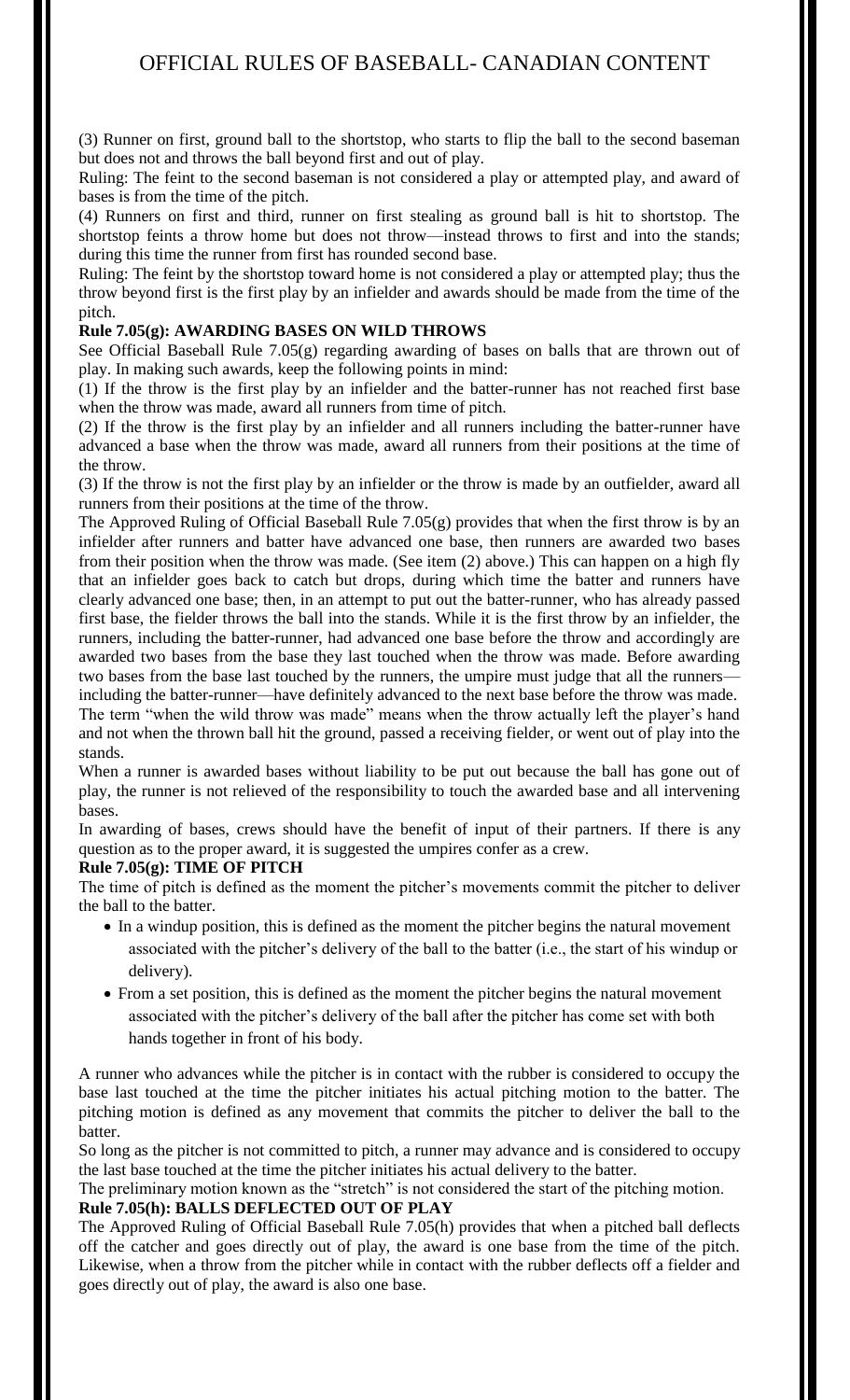(3) Runner on first, ground ball to the shortstop, who starts to flip the ball to the second baseman but does not and throws the ball beyond first and out of play.

Ruling: The feint to the second baseman is not considered a play or attempted play, and award of bases is from the time of the pitch.

(4) Runners on first and third, runner on first stealing as ground ball is hit to shortstop. The shortstop feints a throw home but does not throw—instead throws to first and into the stands; during this time the runner from first has rounded second base.

Ruling: The feint by the shortstop toward home is not considered a play or attempted play; thus the throw beyond first is the first play by an infielder and awards should be made from the time of the pitch.

## **Rule 7.05(g): AWARDING BASES ON WILD THROWS**

See Official Baseball Rule 7.05(g) regarding awarding of bases on balls that are thrown out of play. In making such awards, keep the following points in mind:

(1) If the throw is the first play by an infielder and the batter-runner has not reached first base when the throw was made, award all runners from time of pitch.

(2) If the throw is the first play by an infielder and all runners including the batter-runner have advanced a base when the throw was made, award all runners from their positions at the time of the throw.

(3) If the throw is not the first play by an infielder or the throw is made by an outfielder, award all runners from their positions at the time of the throw.

The Approved Ruling of Official Baseball Rule 7.05(g) provides that when the first throw is by an infielder after runners and batter have advanced one base, then runners are awarded two bases from their position when the throw was made. (See item (2) above.) This can happen on a high fly that an infielder goes back to catch but drops, during which time the batter and runners have clearly advanced one base; then, in an attempt to put out the batter-runner, who has already passed first base, the fielder throws the ball into the stands. While it is the first throw by an infielder, the runners, including the batter-runner, had advanced one base before the throw and accordingly are awarded two bases from the base they last touched when the throw was made. Before awarding two bases from the base last touched by the runners, the umpire must judge that all the runners including the batter-runner—have definitely advanced to the next base before the throw was made. The term "when the wild throw was made" means when the throw actually left the player's hand and not when the thrown ball hit the ground, passed a receiving fielder, or went out of play into the stands.

When a runner is awarded bases without liability to be put out because the ball has gone out of play, the runner is not relieved of the responsibility to touch the awarded base and all intervening bases.

In awarding of bases, crews should have the benefit of input of their partners. If there is any question as to the proper award, it is suggested the umpires confer as a crew.

## **Rule 7.05(g): TIME OF PITCH**

The time of pitch is defined as the moment the pitcher's movements commit the pitcher to deliver the ball to the batter.

- In a windup position, this is defined as the moment the pitcher begins the natural movement associated with the pitcher's delivery of the ball to the batter (i.e., the start of his windup or delivery).
- From a set position, this is defined as the moment the pitcher begins the natural movement associated with the pitcher's delivery of the ball after the pitcher has come set with both hands together in front of his body.

A runner who advances while the pitcher is in contact with the rubber is considered to occupy the base last touched at the time the pitcher initiates his actual pitching motion to the batter. The pitching motion is defined as any movement that commits the pitcher to deliver the ball to the batter.

So long as the pitcher is not committed to pitch, a runner may advance and is considered to occupy the last base touched at the time the pitcher initiates his actual delivery to the batter.

The preliminary motion known as the "stretch" is not considered the start of the pitching motion.

**Rule 7.05(h): BALLS DEFLECTED OUT OF PLAY**

The Approved Ruling of Official Baseball Rule 7.05(h) provides that when a pitched ball deflects off the catcher and goes directly out of play, the award is one base from the time of the pitch. Likewise, when a throw from the pitcher while in contact with the rubber deflects off a fielder and goes directly out of play, the award is also one base.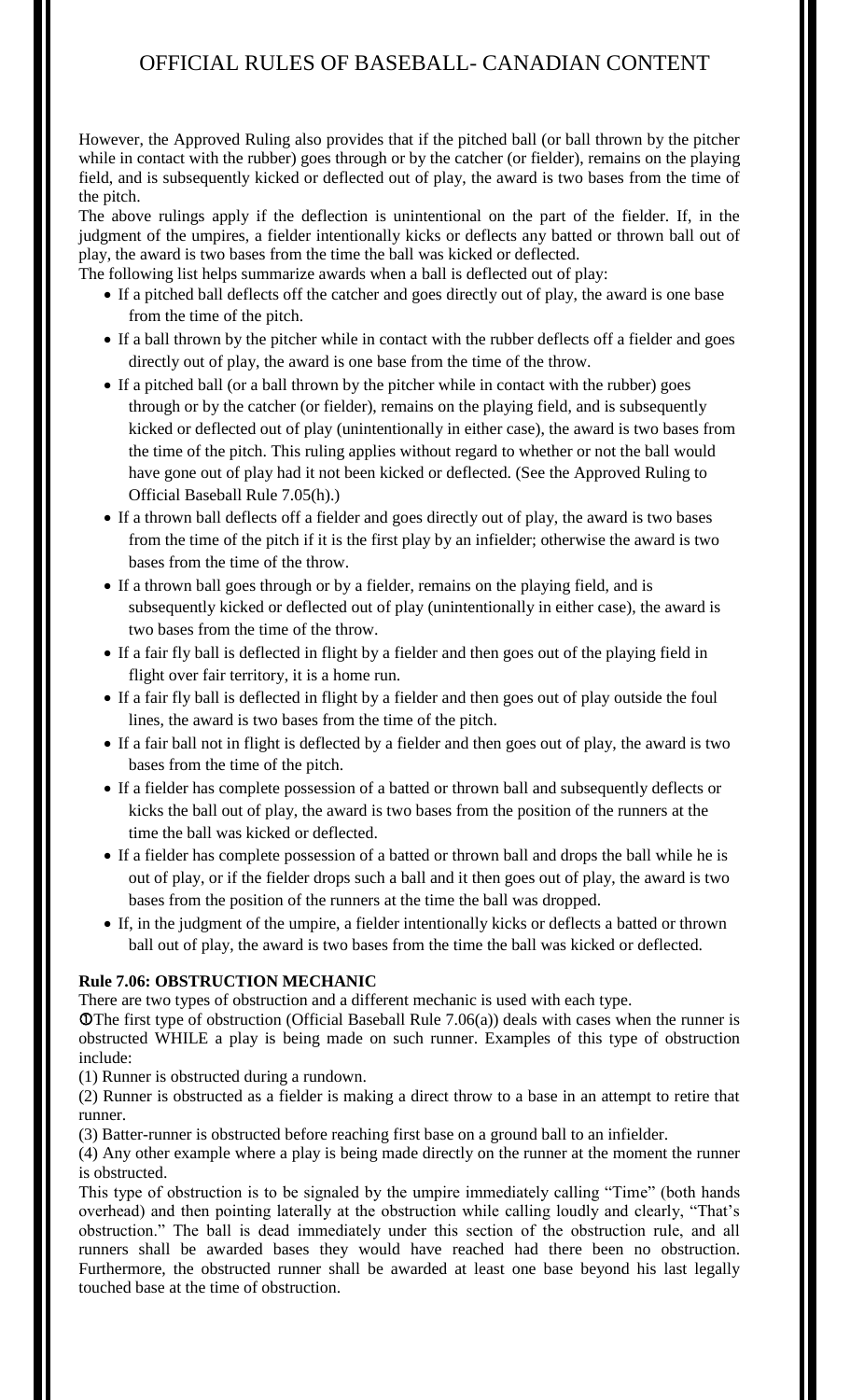However, the Approved Ruling also provides that if the pitched ball (or ball thrown by the pitcher while in contact with the rubber) goes through or by the catcher (or fielder), remains on the playing field, and is subsequently kicked or deflected out of play, the award is two bases from the time of the pitch.

The above rulings apply if the deflection is unintentional on the part of the fielder. If, in the judgment of the umpires, a fielder intentionally kicks or deflects any batted or thrown ball out of play, the award is two bases from the time the ball was kicked or deflected.

The following list helps summarize awards when a ball is deflected out of play:

- If a pitched ball deflects off the catcher and goes directly out of play, the award is one base from the time of the pitch.
- If a ball thrown by the pitcher while in contact with the rubber deflects off a fielder and goes directly out of play, the award is one base from the time of the throw.
- If a pitched ball (or a ball thrown by the pitcher while in contact with the rubber) goes through or by the catcher (or fielder), remains on the playing field, and is subsequently kicked or deflected out of play (unintentionally in either case), the award is two bases from the time of the pitch. This ruling applies without regard to whether or not the ball would have gone out of play had it not been kicked or deflected. (See the Approved Ruling to Official Baseball Rule 7.05(h).)
- If a thrown ball deflects off a fielder and goes directly out of play, the award is two bases from the time of the pitch if it is the first play by an infielder; otherwise the award is two bases from the time of the throw.
- If a thrown ball goes through or by a fielder, remains on the playing field, and is subsequently kicked or deflected out of play (unintentionally in either case), the award is two bases from the time of the throw.
- If a fair fly ball is deflected in flight by a fielder and then goes out of the playing field in flight over fair territory, it is a home run.
- If a fair fly ball is deflected in flight by a fielder and then goes out of play outside the foul lines, the award is two bases from the time of the pitch.
- If a fair ball not in flight is deflected by a fielder and then goes out of play, the award is two bases from the time of the pitch.
- If a fielder has complete possession of a batted or thrown ball and subsequently deflects or kicks the ball out of play, the award is two bases from the position of the runners at the time the ball was kicked or deflected.
- If a fielder has complete possession of a batted or thrown ball and drops the ball while he is out of play, or if the fielder drops such a ball and it then goes out of play, the award is two bases from the position of the runners at the time the ball was dropped.
- If, in the judgment of the umpire, a fielder intentionally kicks or deflects a batted or thrown ball out of play, the award is two bases from the time the ball was kicked or deflected.

## **Rule 7.06: OBSTRUCTION MECHANIC**

There are two types of obstruction and a different mechanic is used with each type.

O The first type of obstruction (Official Baseball Rule  $7.06(a)$ ) deals with cases when the runner is obstructed WHILE a play is being made on such runner. Examples of this type of obstruction include:

(1) Runner is obstructed during a rundown.

(2) Runner is obstructed as a fielder is making a direct throw to a base in an attempt to retire that runner.

(3) Batter-runner is obstructed before reaching first base on a ground ball to an infielder.

(4) Any other example where a play is being made directly on the runner at the moment the runner is obstructed.

This type of obstruction is to be signaled by the umpire immediately calling "Time" (both hands overhead) and then pointing laterally at the obstruction while calling loudly and clearly, "That's obstruction." The ball is dead immediately under this section of the obstruction rule, and all runners shall be awarded bases they would have reached had there been no obstruction. Furthermore, the obstructed runner shall be awarded at least one base beyond his last legally touched base at the time of obstruction.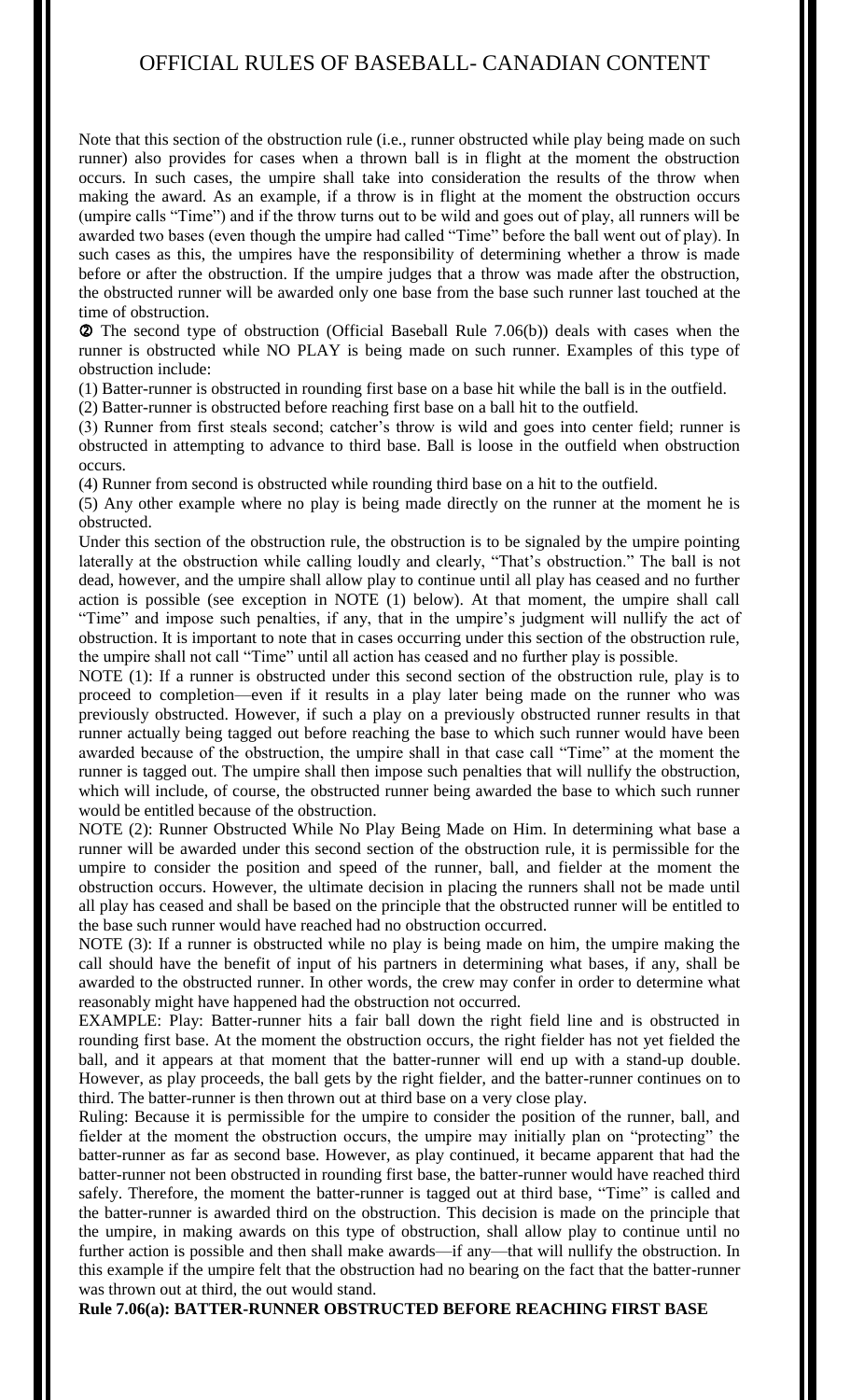Note that this section of the obstruction rule (i.e., runner obstructed while play being made on such runner) also provides for cases when a thrown ball is in flight at the moment the obstruction occurs. In such cases, the umpire shall take into consideration the results of the throw when making the award. As an example, if a throw is in flight at the moment the obstruction occurs (umpire calls "Time") and if the throw turns out to be wild and goes out of play, all runners will be awarded two bases (even though the umpire had called "Time" before the ball went out of play). In such cases as this, the umpires have the responsibility of determining whether a throw is made before or after the obstruction. If the umpire judges that a throw was made after the obstruction, the obstructed runner will be awarded only one base from the base such runner last touched at the time of obstruction.

 The second type of obstruction (Official Baseball Rule 7.06(b)) deals with cases when the runner is obstructed while NO PLAY is being made on such runner. Examples of this type of obstruction include:

(1) Batter-runner is obstructed in rounding first base on a base hit while the ball is in the outfield.

(2) Batter-runner is obstructed before reaching first base on a ball hit to the outfield.

(3) Runner from first steals second; catcher's throw is wild and goes into center field; runner is obstructed in attempting to advance to third base. Ball is loose in the outfield when obstruction occurs.

(4) Runner from second is obstructed while rounding third base on a hit to the outfield.

(5) Any other example where no play is being made directly on the runner at the moment he is obstructed.

Under this section of the obstruction rule, the obstruction is to be signaled by the umpire pointing laterally at the obstruction while calling loudly and clearly, "That's obstruction." The ball is not dead, however, and the umpire shall allow play to continue until all play has ceased and no further action is possible (see exception in NOTE (1) below). At that moment, the umpire shall call "Time" and impose such penalties, if any, that in the umpire's judgment will nullify the act of obstruction. It is important to note that in cases occurring under this section of the obstruction rule, the umpire shall not call "Time" until all action has ceased and no further play is possible.

NOTE (1): If a runner is obstructed under this second section of the obstruction rule, play is to proceed to completion—even if it results in a play later being made on the runner who was previously obstructed. However, if such a play on a previously obstructed runner results in that runner actually being tagged out before reaching the base to which such runner would have been awarded because of the obstruction, the umpire shall in that case call "Time" at the moment the runner is tagged out. The umpire shall then impose such penalties that will nullify the obstruction, which will include, of course, the obstructed runner being awarded the base to which such runner would be entitled because of the obstruction.

NOTE (2): Runner Obstructed While No Play Being Made on Him. In determining what base a runner will be awarded under this second section of the obstruction rule, it is permissible for the umpire to consider the position and speed of the runner, ball, and fielder at the moment the obstruction occurs. However, the ultimate decision in placing the runners shall not be made until all play has ceased and shall be based on the principle that the obstructed runner will be entitled to the base such runner would have reached had no obstruction occurred.

NOTE (3): If a runner is obstructed while no play is being made on him, the umpire making the call should have the benefit of input of his partners in determining what bases, if any, shall be awarded to the obstructed runner. In other words, the crew may confer in order to determine what reasonably might have happened had the obstruction not occurred.

EXAMPLE: Play: Batter-runner hits a fair ball down the right field line and is obstructed in rounding first base. At the moment the obstruction occurs, the right fielder has not yet fielded the ball, and it appears at that moment that the batter-runner will end up with a stand-up double. However, as play proceeds, the ball gets by the right fielder, and the batter-runner continues on to third. The batter-runner is then thrown out at third base on a very close play.

Ruling: Because it is permissible for the umpire to consider the position of the runner, ball, and fielder at the moment the obstruction occurs, the umpire may initially plan on "protecting" the batter-runner as far as second base. However, as play continued, it became apparent that had the batter-runner not been obstructed in rounding first base, the batter-runner would have reached third safely. Therefore, the moment the batter-runner is tagged out at third base, "Time" is called and the batter-runner is awarded third on the obstruction. This decision is made on the principle that the umpire, in making awards on this type of obstruction, shall allow play to continue until no further action is possible and then shall make awards—if any—that will nullify the obstruction. In this example if the umpire felt that the obstruction had no bearing on the fact that the batter-runner was thrown out at third, the out would stand.

**Rule 7.06(a): BATTER-RUNNER OBSTRUCTED BEFORE REACHING FIRST BASE**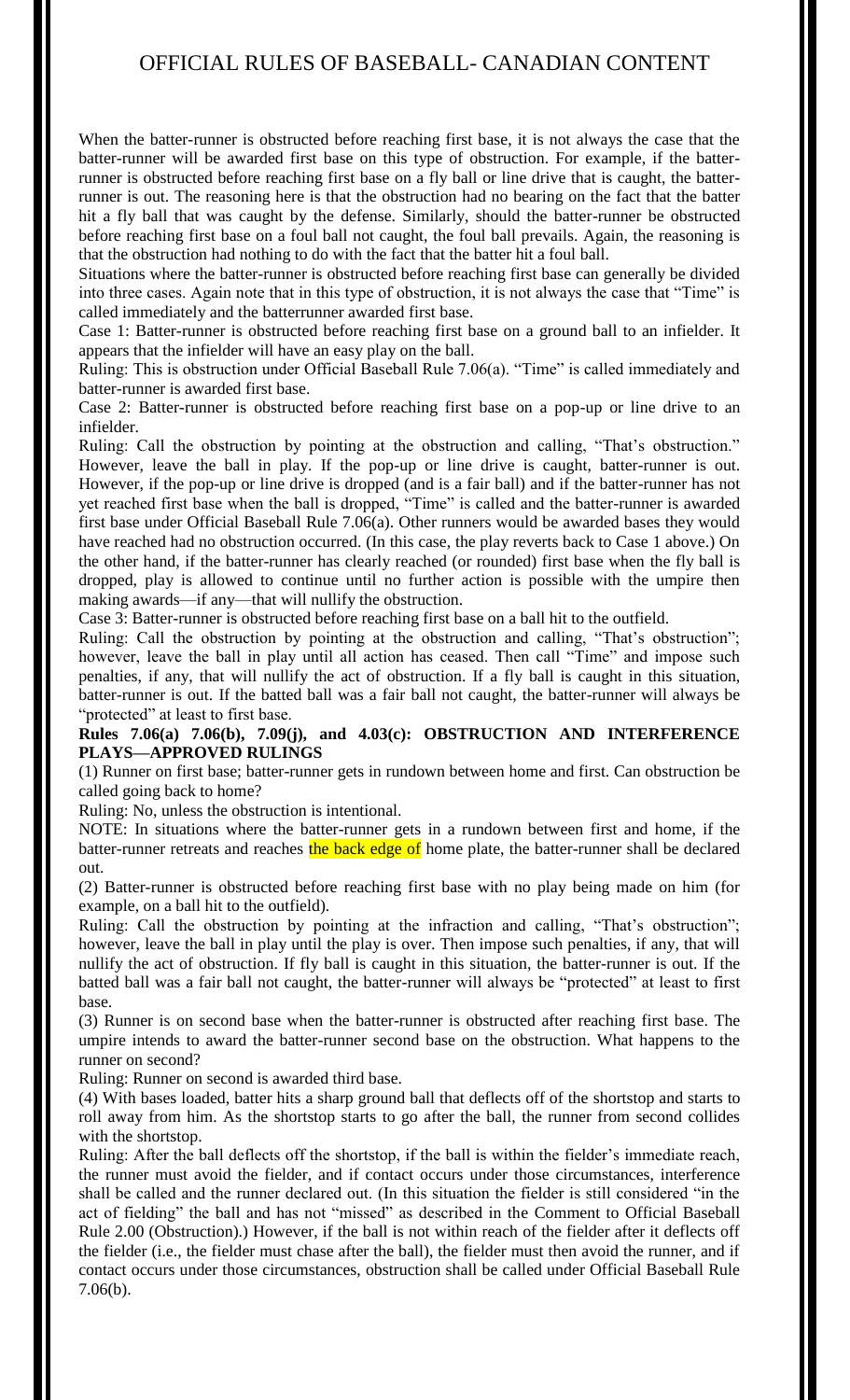When the batter-runner is obstructed before reaching first base, it is not always the case that the batter-runner will be awarded first base on this type of obstruction. For example, if the batterrunner is obstructed before reaching first base on a fly ball or line drive that is caught, the batterrunner is out. The reasoning here is that the obstruction had no bearing on the fact that the batter hit a fly ball that was caught by the defense. Similarly, should the batter-runner be obstructed before reaching first base on a foul ball not caught, the foul ball prevails. Again, the reasoning is that the obstruction had nothing to do with the fact that the batter hit a foul ball.

Situations where the batter-runner is obstructed before reaching first base can generally be divided into three cases. Again note that in this type of obstruction, it is not always the case that "Time" is called immediately and the batterrunner awarded first base.

Case 1: Batter-runner is obstructed before reaching first base on a ground ball to an infielder. It appears that the infielder will have an easy play on the ball.

Ruling: This is obstruction under Official Baseball Rule 7.06(a). "Time" is called immediately and batter-runner is awarded first base.

Case 2: Batter-runner is obstructed before reaching first base on a pop-up or line drive to an infielder.

Ruling: Call the obstruction by pointing at the obstruction and calling, "That's obstruction." However, leave the ball in play. If the pop-up or line drive is caught, batter-runner is out. However, if the pop-up or line drive is dropped (and is a fair ball) and if the batter-runner has not yet reached first base when the ball is dropped, "Time" is called and the batter-runner is awarded first base under Official Baseball Rule 7.06(a). Other runners would be awarded bases they would have reached had no obstruction occurred. (In this case, the play reverts back to Case 1 above.) On the other hand, if the batter-runner has clearly reached (or rounded) first base when the fly ball is dropped, play is allowed to continue until no further action is possible with the umpire then making awards—if any—that will nullify the obstruction.

Case 3: Batter-runner is obstructed before reaching first base on a ball hit to the outfield.

Ruling: Call the obstruction by pointing at the obstruction and calling, "That's obstruction"; however, leave the ball in play until all action has ceased. Then call "Time" and impose such penalties, if any, that will nullify the act of obstruction. If a fly ball is caught in this situation, batter-runner is out. If the batted ball was a fair ball not caught, the batter-runner will always be "protected" at least to first base.

## **Rules 7.06(a) 7.06(b), 7.09(j), and 4.03(c): OBSTRUCTION AND INTERFERENCE PLAYS—APPROVED RULINGS**

(1) Runner on first base; batter-runner gets in rundown between home and first. Can obstruction be called going back to home?

Ruling: No, unless the obstruction is intentional.

NOTE: In situations where the batter-runner gets in a rundown between first and home, if the batter-runner retreats and reaches the back edge of home plate, the batter-runner shall be declared out.

(2) Batter-runner is obstructed before reaching first base with no play being made on him (for example, on a ball hit to the outfield).

Ruling: Call the obstruction by pointing at the infraction and calling, "That's obstruction"; however, leave the ball in play until the play is over. Then impose such penalties, if any, that will nullify the act of obstruction. If fly ball is caught in this situation, the batter-runner is out. If the batted ball was a fair ball not caught, the batter-runner will always be "protected" at least to first base.

(3) Runner is on second base when the batter-runner is obstructed after reaching first base. The umpire intends to award the batter-runner second base on the obstruction. What happens to the runner on second?

Ruling: Runner on second is awarded third base.

(4) With bases loaded, batter hits a sharp ground ball that deflects off of the shortstop and starts to roll away from him. As the shortstop starts to go after the ball, the runner from second collides with the shortstop.

Ruling: After the ball deflects off the shortstop, if the ball is within the fielder's immediate reach, the runner must avoid the fielder, and if contact occurs under those circumstances, interference shall be called and the runner declared out. (In this situation the fielder is still considered "in the act of fielding" the ball and has not "missed" as described in the Comment to Official Baseball Rule 2.00 (Obstruction).) However, if the ball is not within reach of the fielder after it deflects off the fielder (i.e., the fielder must chase after the ball), the fielder must then avoid the runner, and if contact occurs under those circumstances, obstruction shall be called under Official Baseball Rule 7.06(b).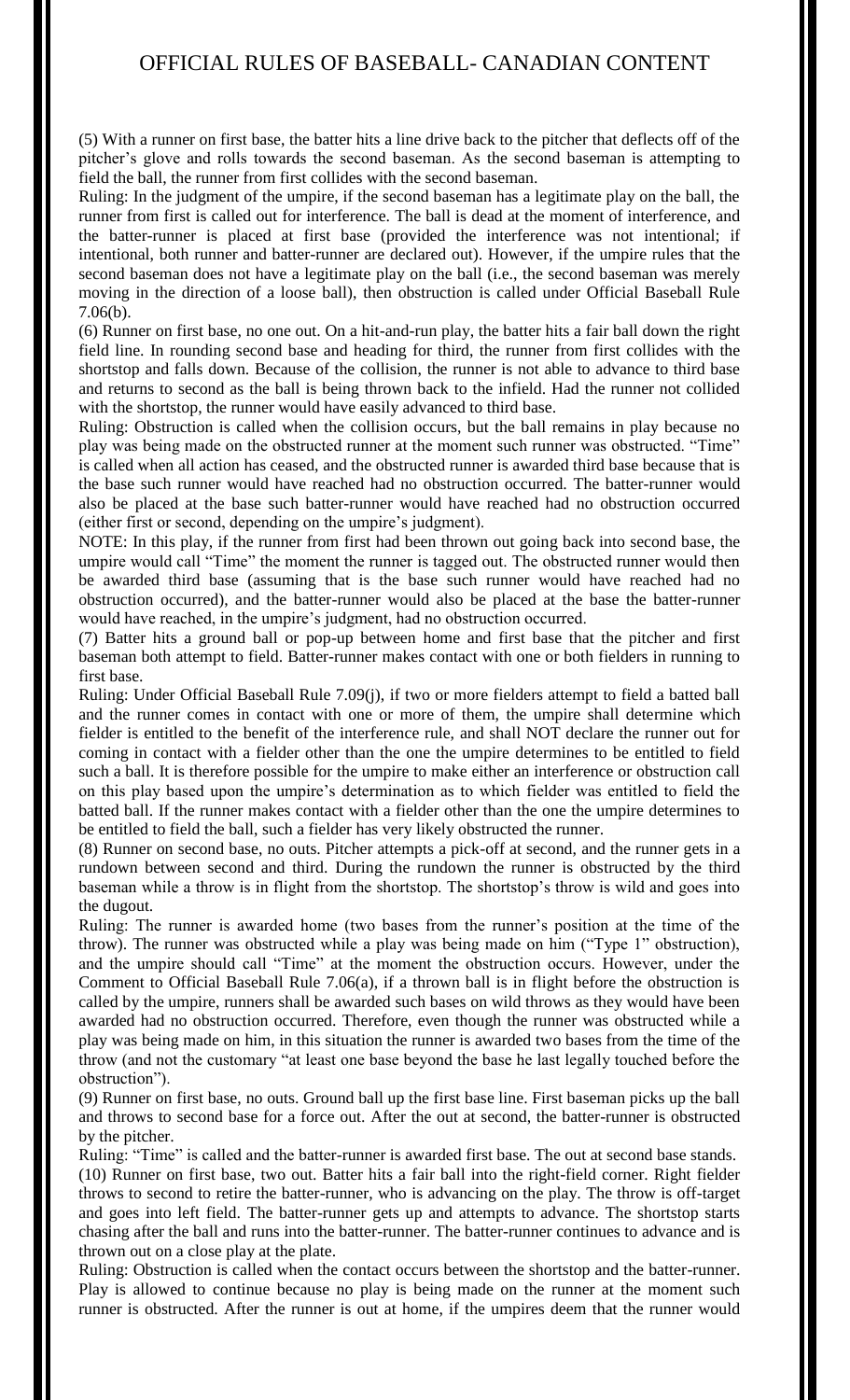(5) With a runner on first base, the batter hits a line drive back to the pitcher that deflects off of the pitcher's glove and rolls towards the second baseman. As the second baseman is attempting to field the ball, the runner from first collides with the second baseman.

Ruling: In the judgment of the umpire, if the second baseman has a legitimate play on the ball, the runner from first is called out for interference. The ball is dead at the moment of interference, and the batter-runner is placed at first base (provided the interference was not intentional; if intentional, both runner and batter-runner are declared out). However, if the umpire rules that the second baseman does not have a legitimate play on the ball (i.e., the second baseman was merely moving in the direction of a loose ball), then obstruction is called under Official Baseball Rule 7.06(b).

(6) Runner on first base, no one out. On a hit-and-run play, the batter hits a fair ball down the right field line. In rounding second base and heading for third, the runner from first collides with the shortstop and falls down. Because of the collision, the runner is not able to advance to third base and returns to second as the ball is being thrown back to the infield. Had the runner not collided with the shortstop, the runner would have easily advanced to third base.

Ruling: Obstruction is called when the collision occurs, but the ball remains in play because no play was being made on the obstructed runner at the moment such runner was obstructed. "Time" is called when all action has ceased, and the obstructed runner is awarded third base because that is the base such runner would have reached had no obstruction occurred. The batter-runner would also be placed at the base such batter-runner would have reached had no obstruction occurred (either first or second, depending on the umpire's judgment).

NOTE: In this play, if the runner from first had been thrown out going back into second base, the umpire would call "Time" the moment the runner is tagged out. The obstructed runner would then be awarded third base (assuming that is the base such runner would have reached had no obstruction occurred), and the batter-runner would also be placed at the base the batter-runner would have reached, in the umpire's judgment, had no obstruction occurred.

(7) Batter hits a ground ball or pop-up between home and first base that the pitcher and first baseman both attempt to field. Batter-runner makes contact with one or both fielders in running to first base.

Ruling: Under Official Baseball Rule 7.09(j), if two or more fielders attempt to field a batted ball and the runner comes in contact with one or more of them, the umpire shall determine which fielder is entitled to the benefit of the interference rule, and shall NOT declare the runner out for coming in contact with a fielder other than the one the umpire determines to be entitled to field such a ball. It is therefore possible for the umpire to make either an interference or obstruction call on this play based upon the umpire's determination as to which fielder was entitled to field the batted ball. If the runner makes contact with a fielder other than the one the umpire determines to be entitled to field the ball, such a fielder has very likely obstructed the runner.

(8) Runner on second base, no outs. Pitcher attempts a pick-off at second, and the runner gets in a rundown between second and third. During the rundown the runner is obstructed by the third baseman while a throw is in flight from the shortstop. The shortstop's throw is wild and goes into the dugout.

Ruling: The runner is awarded home (two bases from the runner's position at the time of the throw). The runner was obstructed while a play was being made on him ("Type 1" obstruction), and the umpire should call "Time" at the moment the obstruction occurs. However, under the Comment to Official Baseball Rule 7.06(a), if a thrown ball is in flight before the obstruction is called by the umpire, runners shall be awarded such bases on wild throws as they would have been awarded had no obstruction occurred. Therefore, even though the runner was obstructed while a play was being made on him, in this situation the runner is awarded two bases from the time of the throw (and not the customary "at least one base beyond the base he last legally touched before the obstruction").

(9) Runner on first base, no outs. Ground ball up the first base line. First baseman picks up the ball and throws to second base for a force out. After the out at second, the batter-runner is obstructed by the pitcher.

Ruling: "Time" is called and the batter-runner is awarded first base. The out at second base stands. (10) Runner on first base, two out. Batter hits a fair ball into the right-field corner. Right fielder throws to second to retire the batter-runner, who is advancing on the play. The throw is off-target and goes into left field. The batter-runner gets up and attempts to advance. The shortstop starts chasing after the ball and runs into the batter-runner. The batter-runner continues to advance and is thrown out on a close play at the plate.

Ruling: Obstruction is called when the contact occurs between the shortstop and the batter-runner. Play is allowed to continue because no play is being made on the runner at the moment such runner is obstructed. After the runner is out at home, if the umpires deem that the runner would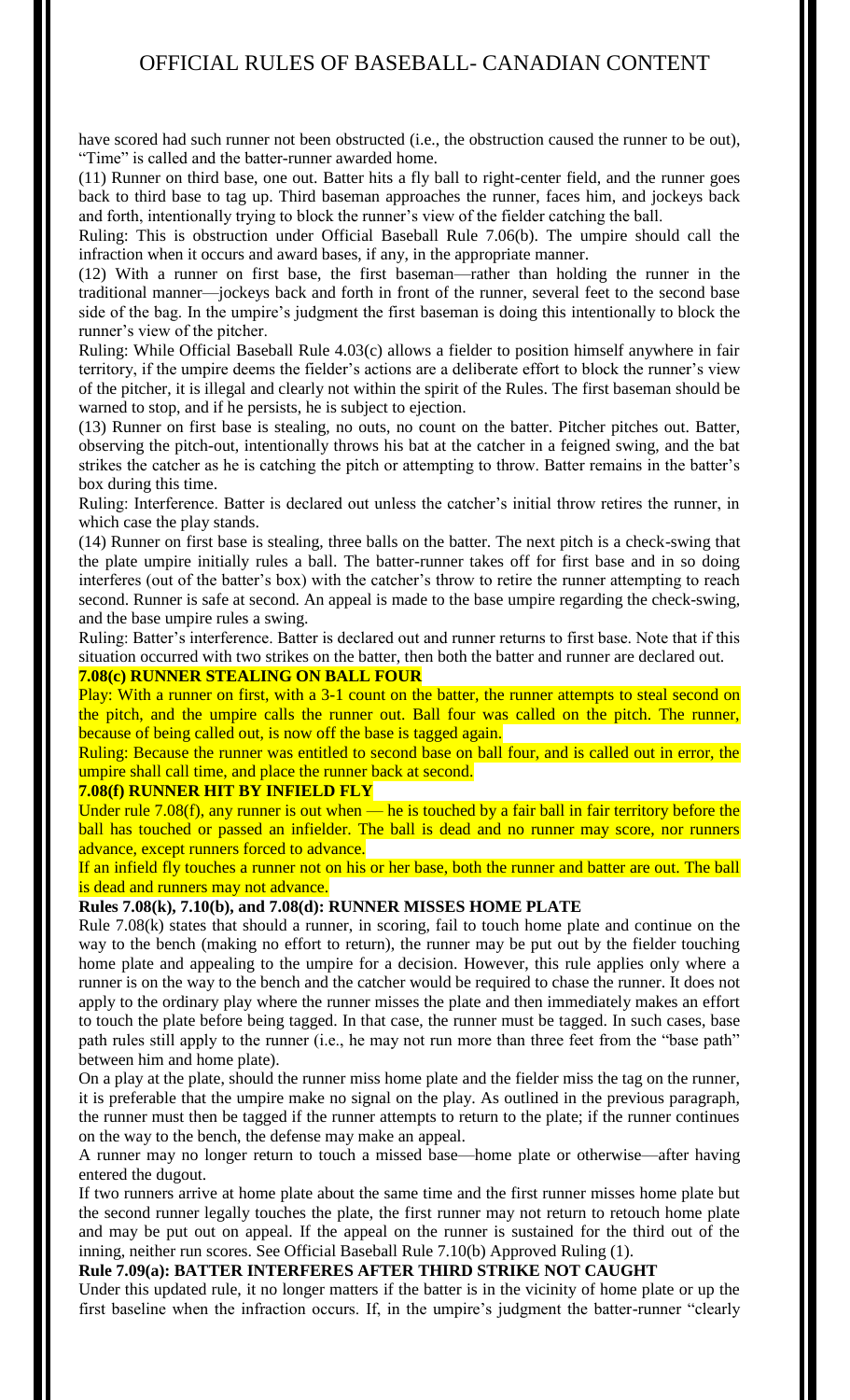have scored had such runner not been obstructed (i.e., the obstruction caused the runner to be out), "Time" is called and the batter-runner awarded home.

(11) Runner on third base, one out. Batter hits a fly ball to right-center field, and the runner goes back to third base to tag up. Third baseman approaches the runner, faces him, and jockeys back and forth, intentionally trying to block the runner's view of the fielder catching the ball.

Ruling: This is obstruction under Official Baseball Rule 7.06(b). The umpire should call the infraction when it occurs and award bases, if any, in the appropriate manner.

(12) With a runner on first base, the first baseman—rather than holding the runner in the traditional manner—jockeys back and forth in front of the runner, several feet to the second base side of the bag. In the umpire's judgment the first baseman is doing this intentionally to block the runner's view of the pitcher.

Ruling: While Official Baseball Rule 4.03(c) allows a fielder to position himself anywhere in fair territory, if the umpire deems the fielder's actions are a deliberate effort to block the runner's view of the pitcher, it is illegal and clearly not within the spirit of the Rules. The first baseman should be warned to stop, and if he persists, he is subject to ejection.

(13) Runner on first base is stealing, no outs, no count on the batter. Pitcher pitches out. Batter, observing the pitch-out, intentionally throws his bat at the catcher in a feigned swing, and the bat strikes the catcher as he is catching the pitch or attempting to throw. Batter remains in the batter's box during this time.

Ruling: Interference. Batter is declared out unless the catcher's initial throw retires the runner, in which case the play stands.

(14) Runner on first base is stealing, three balls on the batter. The next pitch is a check-swing that the plate umpire initially rules a ball. The batter-runner takes off for first base and in so doing interferes (out of the batter's box) with the catcher's throw to retire the runner attempting to reach second. Runner is safe at second. An appeal is made to the base umpire regarding the check-swing, and the base umpire rules a swing.

Ruling: Batter's interference. Batter is declared out and runner returns to first base. Note that if this situation occurred with two strikes on the batter, then both the batter and runner are declared out. **7.08(c) RUNNER STEALING ON BALL FOUR**

Play: With a runner on first, with a 3-1 count on the batter, the runner attempts to steal second on the pitch, and the umpire calls the runner out. Ball four was called on the pitch. The runner, because of being called out, is now off the base is tagged again.

Ruling: Because the runner was entitled to second base on ball four, and is called out in error, the umpire shall call time, and place the runner back at second.

## **7.08(f) RUNNER HIT BY INFIELD FLY**

Under rule  $7.08(f)$ , any runner is out when — he is touched by a fair ball in fair territory before the ball has touched or passed an infielder. The ball is dead and no runner may score, nor runners advance, except runners forced to advance.

If an infield fly touches a runner not on his or her base, both the runner and batter are out. The ball is dead and runners may not advance.

## **Rules 7.08(k), 7.10(b), and 7.08(d): RUNNER MISSES HOME PLATE**

Rule 7.08(k) states that should a runner, in scoring, fail to touch home plate and continue on the way to the bench (making no effort to return), the runner may be put out by the fielder touching home plate and appealing to the umpire for a decision. However, this rule applies only where a runner is on the way to the bench and the catcher would be required to chase the runner. It does not apply to the ordinary play where the runner misses the plate and then immediately makes an effort to touch the plate before being tagged. In that case, the runner must be tagged. In such cases, base path rules still apply to the runner (i.e., he may not run more than three feet from the "base path" between him and home plate).

On a play at the plate, should the runner miss home plate and the fielder miss the tag on the runner, it is preferable that the umpire make no signal on the play. As outlined in the previous paragraph, the runner must then be tagged if the runner attempts to return to the plate; if the runner continues on the way to the bench, the defense may make an appeal.

A runner may no longer return to touch a missed base—home plate or otherwise—after having entered the dugout.

If two runners arrive at home plate about the same time and the first runner misses home plate but the second runner legally touches the plate, the first runner may not return to retouch home plate and may be put out on appeal. If the appeal on the runner is sustained for the third out of the inning, neither run scores. See Official Baseball Rule 7.10(b) Approved Ruling (1).

#### **Rule 7.09(a): BATTER INTERFERES AFTER THIRD STRIKE NOT CAUGHT**

Under this updated rule, it no longer matters if the batter is in the vicinity of home plate or up the first baseline when the infraction occurs. If, in the umpire's judgment the batter-runner "clearly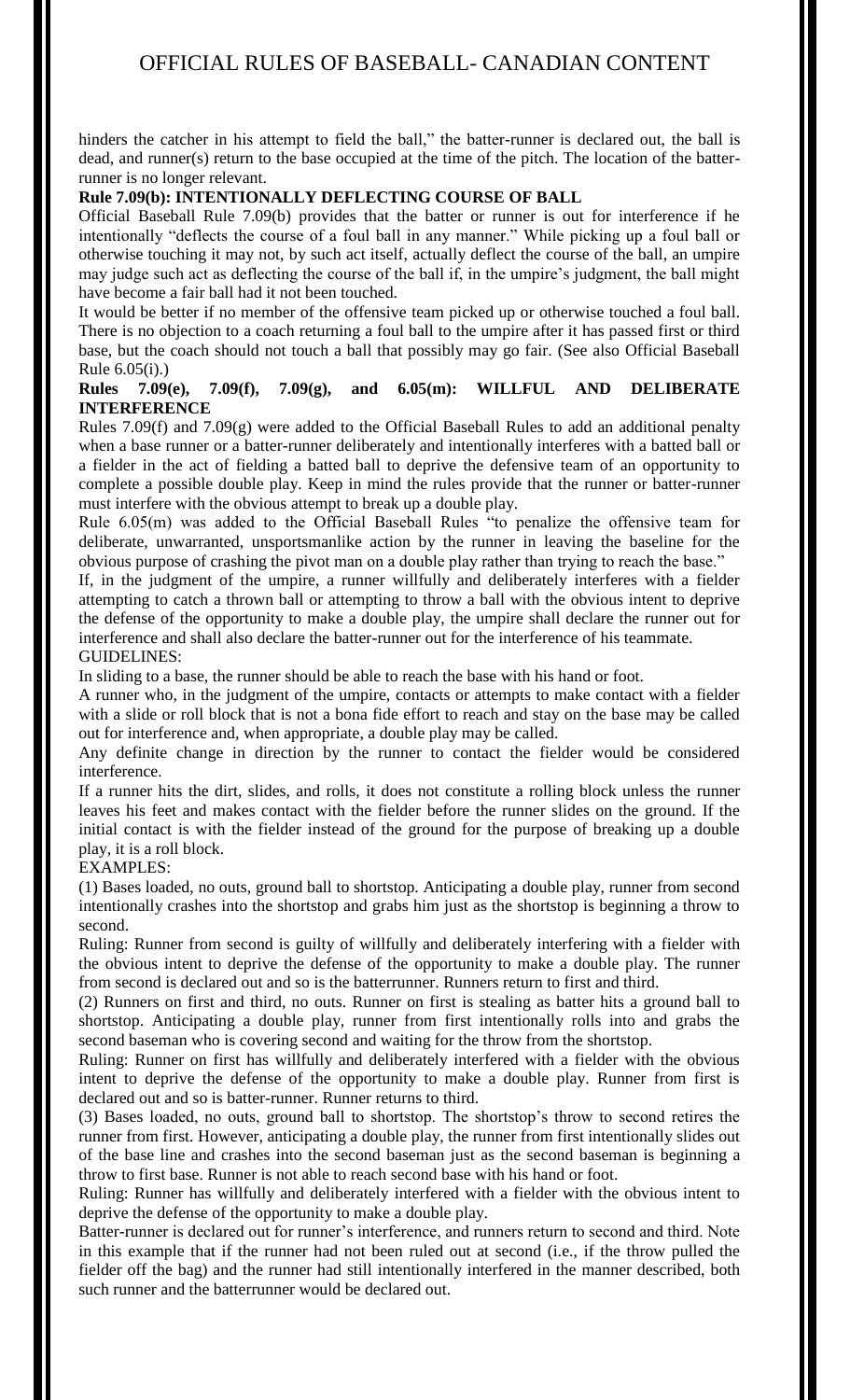hinders the catcher in his attempt to field the ball," the batter-runner is declared out, the ball is dead, and runner(s) return to the base occupied at the time of the pitch. The location of the batterrunner is no longer relevant.

## **Rule 7.09(b): INTENTIONALLY DEFLECTING COURSE OF BALL**

Official Baseball Rule 7.09(b) provides that the batter or runner is out for interference if he intentionally "deflects the course of a foul ball in any manner." While picking up a foul ball or otherwise touching it may not, by such act itself, actually deflect the course of the ball, an umpire may judge such act as deflecting the course of the ball if, in the umpire's judgment, the ball might have become a fair ball had it not been touched.

It would be better if no member of the offensive team picked up or otherwise touched a foul ball. There is no objection to a coach returning a foul ball to the umpire after it has passed first or third base, but the coach should not touch a ball that possibly may go fair. (See also Official Baseball Rule 6.05(i).)

## **Rules 7.09(e), 7.09(f), 7.09(g), and 6.05(m): WILLFUL AND DELIBERATE INTERFERENCE**

Rules 7.09(f) and 7.09(g) were added to the Official Baseball Rules to add an additional penalty when a base runner or a batter-runner deliberately and intentionally interferes with a batted ball or a fielder in the act of fielding a batted ball to deprive the defensive team of an opportunity to complete a possible double play. Keep in mind the rules provide that the runner or batter-runner must interfere with the obvious attempt to break up a double play.

Rule 6.05(m) was added to the Official Baseball Rules "to penalize the offensive team for deliberate, unwarranted, unsportsmanlike action by the runner in leaving the baseline for the obvious purpose of crashing the pivot man on a double play rather than trying to reach the base."

If, in the judgment of the umpire, a runner willfully and deliberately interferes with a fielder attempting to catch a thrown ball or attempting to throw a ball with the obvious intent to deprive the defense of the opportunity to make a double play, the umpire shall declare the runner out for interference and shall also declare the batter-runner out for the interference of his teammate. GUIDELINES:

In sliding to a base, the runner should be able to reach the base with his hand or foot.

A runner who, in the judgment of the umpire, contacts or attempts to make contact with a fielder with a slide or roll block that is not a bona fide effort to reach and stay on the base may be called out for interference and, when appropriate, a double play may be called.

Any definite change in direction by the runner to contact the fielder would be considered interference.

If a runner hits the dirt, slides, and rolls, it does not constitute a rolling block unless the runner leaves his feet and makes contact with the fielder before the runner slides on the ground. If the initial contact is with the fielder instead of the ground for the purpose of breaking up a double play, it is a roll block.

## EXAMPLES:

(1) Bases loaded, no outs, ground ball to shortstop. Anticipating a double play, runner from second intentionally crashes into the shortstop and grabs him just as the shortstop is beginning a throw to second.

Ruling: Runner from second is guilty of willfully and deliberately interfering with a fielder with the obvious intent to deprive the defense of the opportunity to make a double play. The runner from second is declared out and so is the batterrunner. Runners return to first and third.

(2) Runners on first and third, no outs. Runner on first is stealing as batter hits a ground ball to shortstop. Anticipating a double play, runner from first intentionally rolls into and grabs the second baseman who is covering second and waiting for the throw from the shortstop.

Ruling: Runner on first has willfully and deliberately interfered with a fielder with the obvious intent to deprive the defense of the opportunity to make a double play. Runner from first is declared out and so is batter-runner. Runner returns to third.

(3) Bases loaded, no outs, ground ball to shortstop. The shortstop's throw to second retires the runner from first. However, anticipating a double play, the runner from first intentionally slides out of the base line and crashes into the second baseman just as the second baseman is beginning a throw to first base. Runner is not able to reach second base with his hand or foot.

Ruling: Runner has willfully and deliberately interfered with a fielder with the obvious intent to deprive the defense of the opportunity to make a double play.

Batter-runner is declared out for runner's interference, and runners return to second and third. Note in this example that if the runner had not been ruled out at second (i.e., if the throw pulled the fielder off the bag) and the runner had still intentionally interfered in the manner described, both such runner and the batterrunner would be declared out.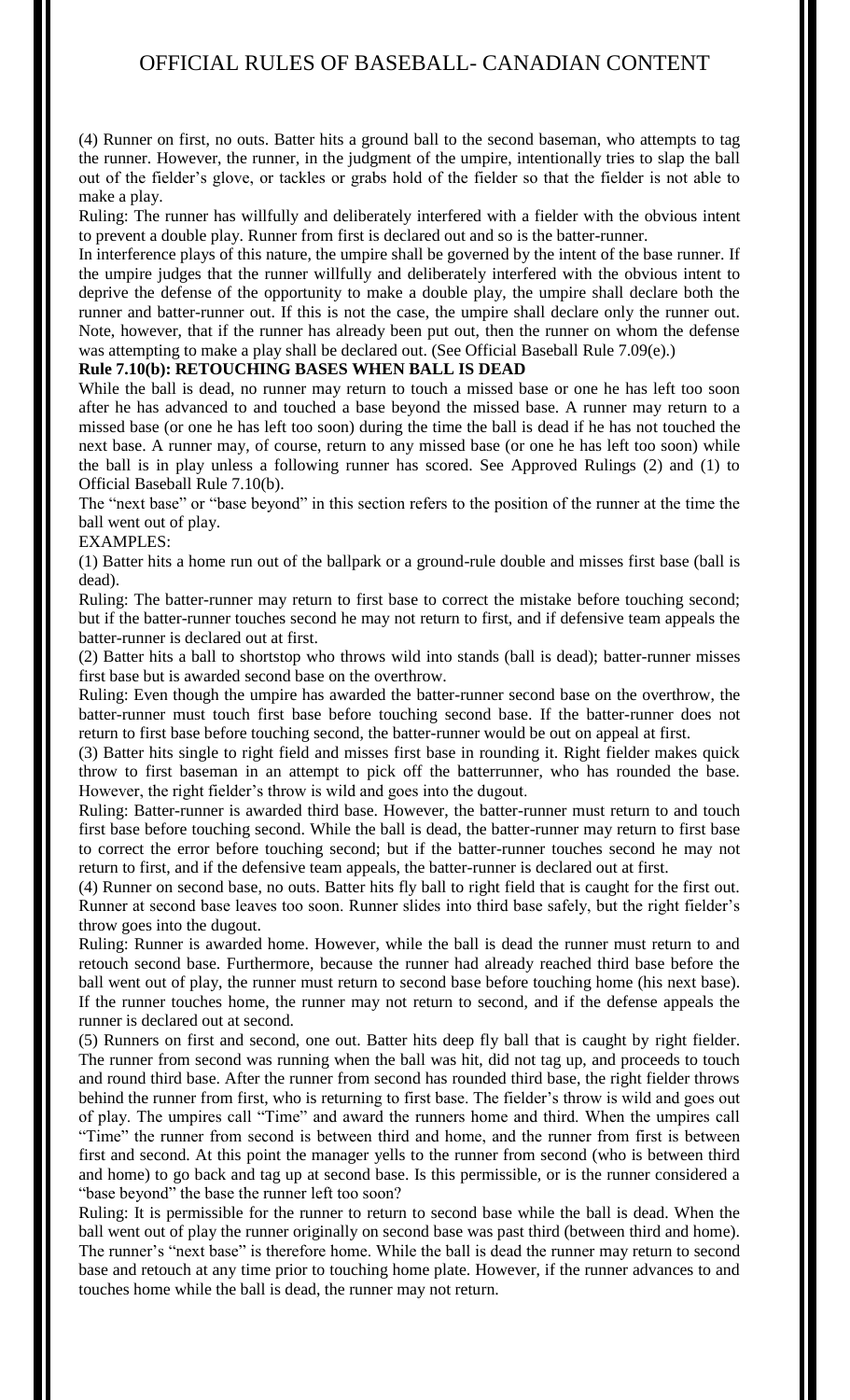(4) Runner on first, no outs. Batter hits a ground ball to the second baseman, who attempts to tag the runner. However, the runner, in the judgment of the umpire, intentionally tries to slap the ball out of the fielder's glove, or tackles or grabs hold of the fielder so that the fielder is not able to make a play.

Ruling: The runner has willfully and deliberately interfered with a fielder with the obvious intent to prevent a double play. Runner from first is declared out and so is the batter-runner.

In interference plays of this nature, the umpire shall be governed by the intent of the base runner. If the umpire judges that the runner willfully and deliberately interfered with the obvious intent to deprive the defense of the opportunity to make a double play, the umpire shall declare both the runner and batter-runner out. If this is not the case, the umpire shall declare only the runner out. Note, however, that if the runner has already been put out, then the runner on whom the defense was attempting to make a play shall be declared out. (See Official Baseball Rule 7.09(e).)

#### **Rule 7.10(b): RETOUCHING BASES WHEN BALL IS DEAD**

While the ball is dead, no runner may return to touch a missed base or one he has left too soon after he has advanced to and touched a base beyond the missed base. A runner may return to a missed base (or one he has left too soon) during the time the ball is dead if he has not touched the next base. A runner may, of course, return to any missed base (or one he has left too soon) while the ball is in play unless a following runner has scored. See Approved Rulings (2) and (1) to Official Baseball Rule 7.10(b).

The "next base" or "base beyond" in this section refers to the position of the runner at the time the ball went out of play.

#### EXAMPLES:

(1) Batter hits a home run out of the ballpark or a ground-rule double and misses first base (ball is dead).

Ruling: The batter-runner may return to first base to correct the mistake before touching second; but if the batter-runner touches second he may not return to first, and if defensive team appeals the batter-runner is declared out at first.

(2) Batter hits a ball to shortstop who throws wild into stands (ball is dead); batter-runner misses first base but is awarded second base on the overthrow.

Ruling: Even though the umpire has awarded the batter-runner second base on the overthrow, the batter-runner must touch first base before touching second base. If the batter-runner does not return to first base before touching second, the batter-runner would be out on appeal at first.

(3) Batter hits single to right field and misses first base in rounding it. Right fielder makes quick throw to first baseman in an attempt to pick off the batterrunner, who has rounded the base. However, the right fielder's throw is wild and goes into the dugout.

Ruling: Batter-runner is awarded third base. However, the batter-runner must return to and touch first base before touching second. While the ball is dead, the batter-runner may return to first base to correct the error before touching second; but if the batter-runner touches second he may not return to first, and if the defensive team appeals, the batter-runner is declared out at first.

(4) Runner on second base, no outs. Batter hits fly ball to right field that is caught for the first out. Runner at second base leaves too soon. Runner slides into third base safely, but the right fielder's throw goes into the dugout.

Ruling: Runner is awarded home. However, while the ball is dead the runner must return to and retouch second base. Furthermore, because the runner had already reached third base before the ball went out of play, the runner must return to second base before touching home (his next base). If the runner touches home, the runner may not return to second, and if the defense appeals the runner is declared out at second.

(5) Runners on first and second, one out. Batter hits deep fly ball that is caught by right fielder. The runner from second was running when the ball was hit, did not tag up, and proceeds to touch and round third base. After the runner from second has rounded third base, the right fielder throws behind the runner from first, who is returning to first base. The fielder's throw is wild and goes out of play. The umpires call "Time" and award the runners home and third. When the umpires call "Time" the runner from second is between third and home, and the runner from first is between first and second. At this point the manager yells to the runner from second (who is between third and home) to go back and tag up at second base. Is this permissible, or is the runner considered a "base beyond" the base the runner left too soon?

Ruling: It is permissible for the runner to return to second base while the ball is dead. When the ball went out of play the runner originally on second base was past third (between third and home). The runner's "next base" is therefore home. While the ball is dead the runner may return to second base and retouch at any time prior to touching home plate. However, if the runner advances to and touches home while the ball is dead, the runner may not return.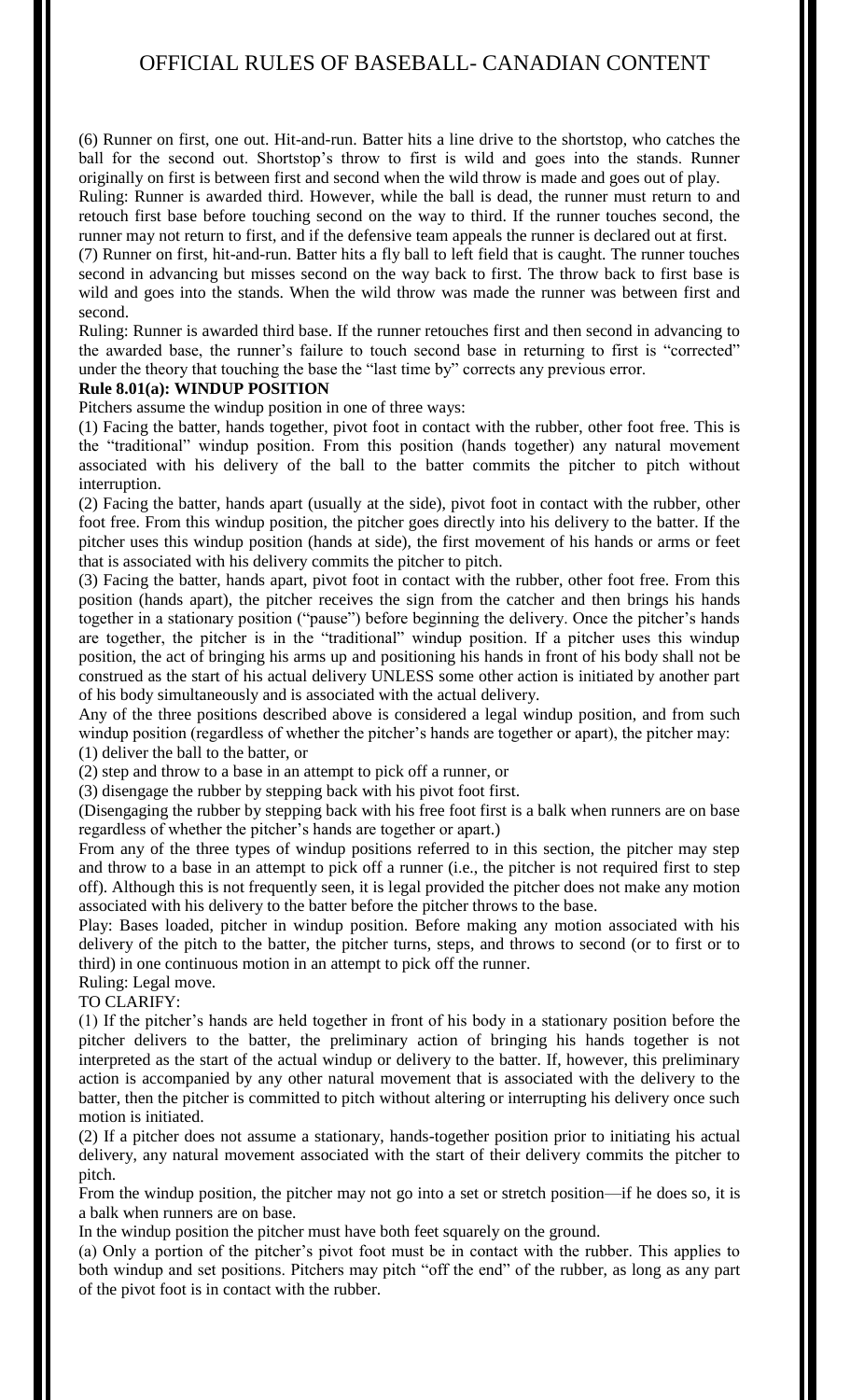(6) Runner on first, one out. Hit-and-run. Batter hits a line drive to the shortstop, who catches the ball for the second out. Shortstop's throw to first is wild and goes into the stands. Runner originally on first is between first and second when the wild throw is made and goes out of play.

Ruling: Runner is awarded third. However, while the ball is dead, the runner must return to and retouch first base before touching second on the way to third. If the runner touches second, the runner may not return to first, and if the defensive team appeals the runner is declared out at first.

(7) Runner on first, hit-and-run. Batter hits a fly ball to left field that is caught. The runner touches second in advancing but misses second on the way back to first. The throw back to first base is wild and goes into the stands. When the wild throw was made the runner was between first and second.

Ruling: Runner is awarded third base. If the runner retouches first and then second in advancing to the awarded base, the runner's failure to touch second base in returning to first is "corrected" under the theory that touching the base the "last time by" corrects any previous error.

## **Rule 8.01(a): WINDUP POSITION**

Pitchers assume the windup position in one of three ways:

(1) Facing the batter, hands together, pivot foot in contact with the rubber, other foot free. This is the "traditional" windup position. From this position (hands together) any natural movement associated with his delivery of the ball to the batter commits the pitcher to pitch without interruption.

(2) Facing the batter, hands apart (usually at the side), pivot foot in contact with the rubber, other foot free. From this windup position, the pitcher goes directly into his delivery to the batter. If the pitcher uses this windup position (hands at side), the first movement of his hands or arms or feet that is associated with his delivery commits the pitcher to pitch.

(3) Facing the batter, hands apart, pivot foot in contact with the rubber, other foot free. From this position (hands apart), the pitcher receives the sign from the catcher and then brings his hands together in a stationary position ("pause") before beginning the delivery. Once the pitcher's hands are together, the pitcher is in the "traditional" windup position. If a pitcher uses this windup position, the act of bringing his arms up and positioning his hands in front of his body shall not be construed as the start of his actual delivery UNLESS some other action is initiated by another part of his body simultaneously and is associated with the actual delivery.

Any of the three positions described above is considered a legal windup position, and from such windup position (regardless of whether the pitcher's hands are together or apart), the pitcher may: (1) deliver the ball to the batter, or

(2) step and throw to a base in an attempt to pick off a runner, or

(3) disengage the rubber by stepping back with his pivot foot first.

(Disengaging the rubber by stepping back with his free foot first is a balk when runners are on base regardless of whether the pitcher's hands are together or apart.)

From any of the three types of windup positions referred to in this section, the pitcher may step and throw to a base in an attempt to pick off a runner (i.e., the pitcher is not required first to step off). Although this is not frequently seen, it is legal provided the pitcher does not make any motion associated with his delivery to the batter before the pitcher throws to the base.

Play: Bases loaded, pitcher in windup position. Before making any motion associated with his delivery of the pitch to the batter, the pitcher turns, steps, and throws to second (or to first or to third) in one continuous motion in an attempt to pick off the runner.

## Ruling: Legal move.

TO CLARIFY:

(1) If the pitcher's hands are held together in front of his body in a stationary position before the pitcher delivers to the batter, the preliminary action of bringing his hands together is not interpreted as the start of the actual windup or delivery to the batter. If, however, this preliminary action is accompanied by any other natural movement that is associated with the delivery to the batter, then the pitcher is committed to pitch without altering or interrupting his delivery once such motion is initiated.

(2) If a pitcher does not assume a stationary, hands-together position prior to initiating his actual delivery, any natural movement associated with the start of their delivery commits the pitcher to pitch.

From the windup position, the pitcher may not go into a set or stretch position—if he does so, it is a balk when runners are on base.

In the windup position the pitcher must have both feet squarely on the ground.

(a) Only a portion of the pitcher's pivot foot must be in contact with the rubber. This applies to both windup and set positions. Pitchers may pitch "off the end" of the rubber, as long as any part of the pivot foot is in contact with the rubber.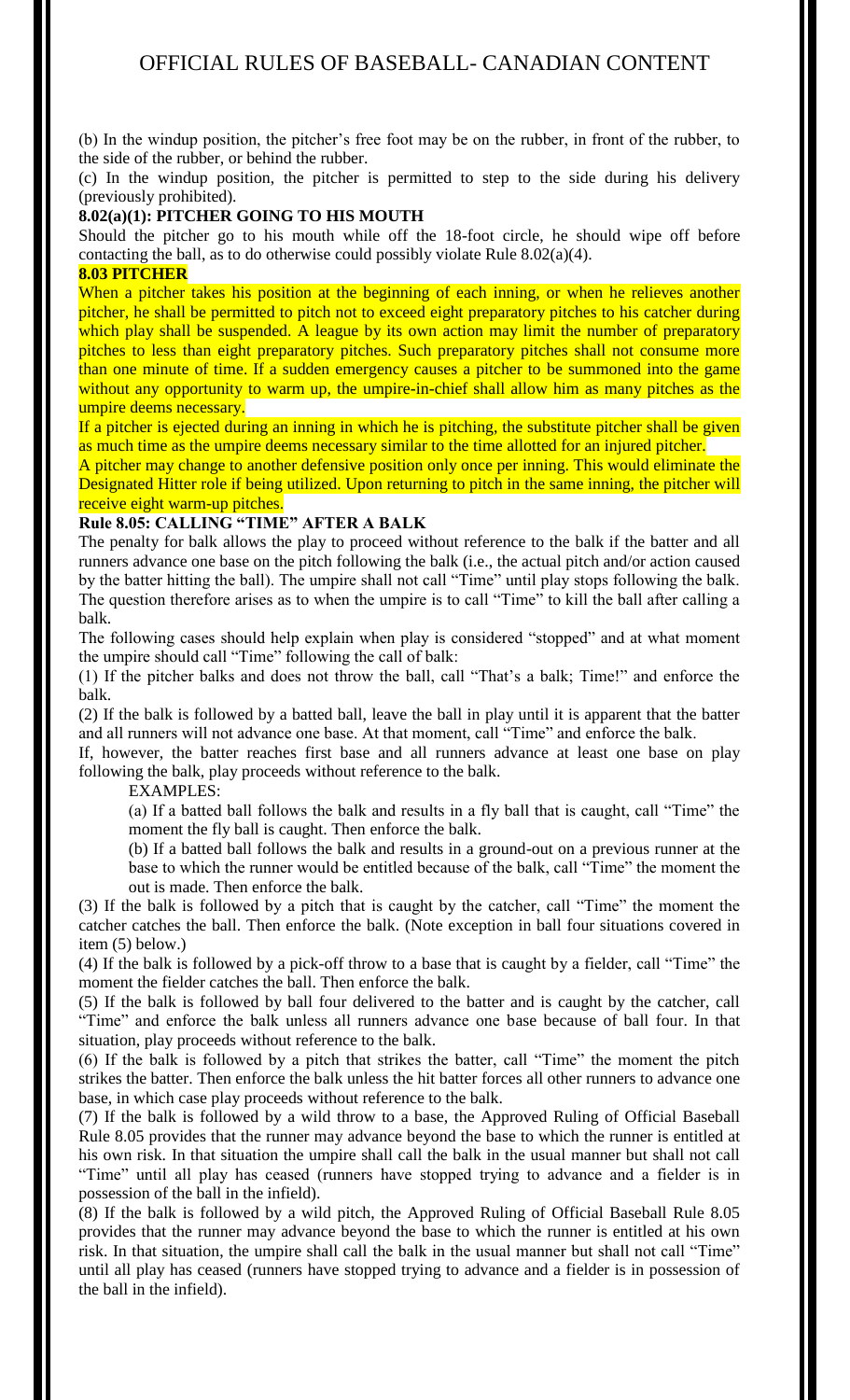(b) In the windup position, the pitcher's free foot may be on the rubber, in front of the rubber, to the side of the rubber, or behind the rubber.

(c) In the windup position, the pitcher is permitted to step to the side during his delivery (previously prohibited).

## **8.02(a)(1): PITCHER GOING TO HIS MOUTH**

Should the pitcher go to his mouth while off the 18-foot circle, he should wipe off before contacting the ball, as to do otherwise could possibly violate Rule 8.02(a)(4).

## **8.03 PITCHER**

When a pitcher takes his position at the beginning of each inning, or when he relieves another pitcher, he shall be permitted to pitch not to exceed eight preparatory pitches to his catcher during which play shall be suspended. A league by its own action may limit the number of preparatory pitches to less than eight preparatory pitches. Such preparatory pitches shall not consume more than one minute of time. If a sudden emergency causes a pitcher to be summoned into the game without any opportunity to warm up, the umpire-in-chief shall allow him as many pitches as the umpire deems necessary.

If a pitcher is ejected during an inning in which he is pitching, the substitute pitcher shall be given as much time as the umpire deems necessary similar to the time allotted for an injured pitcher.

A pitcher may change to another defensive position only once per inning. This would eliminate the Designated Hitter role if being utilized. Upon returning to pitch in the same inning, the pitcher will receive eight warm-up pitches.

#### **Rule 8.05: CALLING "TIME" AFTER A BALK**

The penalty for balk allows the play to proceed without reference to the balk if the batter and all runners advance one base on the pitch following the balk (i.e., the actual pitch and/or action caused by the batter hitting the ball). The umpire shall not call "Time" until play stops following the balk. The question therefore arises as to when the umpire is to call "Time" to kill the ball after calling a balk.

The following cases should help explain when play is considered "stopped" and at what moment the umpire should call "Time" following the call of balk:

(1) If the pitcher balks and does not throw the ball, call "That's a balk; Time!" and enforce the balk.

(2) If the balk is followed by a batted ball, leave the ball in play until it is apparent that the batter and all runners will not advance one base. At that moment, call "Time" and enforce the balk.

If, however, the batter reaches first base and all runners advance at least one base on play following the balk, play proceeds without reference to the balk.

## EXAMPLES:

(a) If a batted ball follows the balk and results in a fly ball that is caught, call "Time" the moment the fly ball is caught. Then enforce the balk.

(b) If a batted ball follows the balk and results in a ground-out on a previous runner at the base to which the runner would be entitled because of the balk, call "Time" the moment the out is made. Then enforce the balk.

(3) If the balk is followed by a pitch that is caught by the catcher, call "Time" the moment the catcher catches the ball. Then enforce the balk. (Note exception in ball four situations covered in item (5) below.)

(4) If the balk is followed by a pick-off throw to a base that is caught by a fielder, call "Time" the moment the fielder catches the ball. Then enforce the balk.

(5) If the balk is followed by ball four delivered to the batter and is caught by the catcher, call "Time" and enforce the balk unless all runners advance one base because of ball four. In that situation, play proceeds without reference to the balk.

(6) If the balk is followed by a pitch that strikes the batter, call "Time" the moment the pitch strikes the batter. Then enforce the balk unless the hit batter forces all other runners to advance one base, in which case play proceeds without reference to the balk.

(7) If the balk is followed by a wild throw to a base, the Approved Ruling of Official Baseball Rule 8.05 provides that the runner may advance beyond the base to which the runner is entitled at his own risk. In that situation the umpire shall call the balk in the usual manner but shall not call "Time" until all play has ceased (runners have stopped trying to advance and a fielder is in possession of the ball in the infield).

(8) If the balk is followed by a wild pitch, the Approved Ruling of Official Baseball Rule 8.05 provides that the runner may advance beyond the base to which the runner is entitled at his own risk. In that situation, the umpire shall call the balk in the usual manner but shall not call "Time" until all play has ceased (runners have stopped trying to advance and a fielder is in possession of the ball in the infield).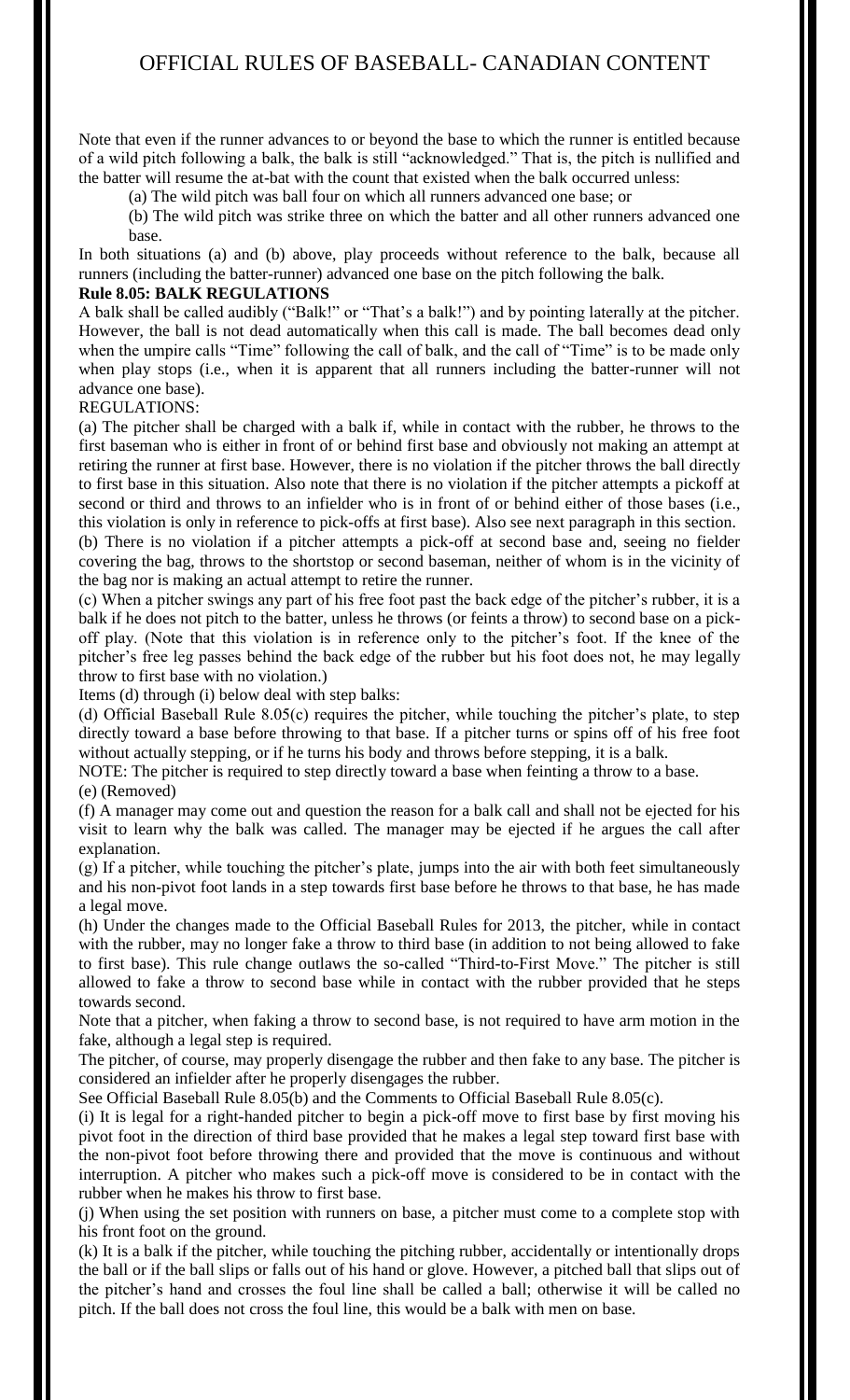Note that even if the runner advances to or beyond the base to which the runner is entitled because of a wild pitch following a balk, the balk is still "acknowledged." That is, the pitch is nullified and the batter will resume the at-bat with the count that existed when the balk occurred unless:

(a) The wild pitch was ball four on which all runners advanced one base; or

(b) The wild pitch was strike three on which the batter and all other runners advanced one base.

In both situations (a) and (b) above, play proceeds without reference to the balk, because all runners (including the batter-runner) advanced one base on the pitch following the balk.

## **Rule 8.05: BALK REGULATIONS**

A balk shall be called audibly ("Balk!" or "That's a balk!") and by pointing laterally at the pitcher. However, the ball is not dead automatically when this call is made. The ball becomes dead only when the umpire calls "Time" following the call of balk, and the call of "Time" is to be made only when play stops (i.e., when it is apparent that all runners including the batter-runner will not advance one base).

#### REGULATIONS:

(a) The pitcher shall be charged with a balk if, while in contact with the rubber, he throws to the first baseman who is either in front of or behind first base and obviously not making an attempt at retiring the runner at first base. However, there is no violation if the pitcher throws the ball directly to first base in this situation. Also note that there is no violation if the pitcher attempts a pickoff at second or third and throws to an infielder who is in front of or behind either of those bases (i.e., this violation is only in reference to pick-offs at first base). Also see next paragraph in this section. (b) There is no violation if a pitcher attempts a pick-off at second base and, seeing no fielder covering the bag, throws to the shortstop or second baseman, neither of whom is in the vicinity of the bag nor is making an actual attempt to retire the runner.

(c) When a pitcher swings any part of his free foot past the back edge of the pitcher's rubber, it is a balk if he does not pitch to the batter, unless he throws (or feints a throw) to second base on a pickoff play. (Note that this violation is in reference only to the pitcher's foot. If the knee of the pitcher's free leg passes behind the back edge of the rubber but his foot does not, he may legally throw to first base with no violation.)

Items (d) through (i) below deal with step balks:

(d) Official Baseball Rule 8.05(c) requires the pitcher, while touching the pitcher's plate, to step directly toward a base before throwing to that base. If a pitcher turns or spins off of his free foot without actually stepping, or if he turns his body and throws before stepping, it is a balk.

NOTE: The pitcher is required to step directly toward a base when feinting a throw to a base.

(e) (Removed)

(f) A manager may come out and question the reason for a balk call and shall not be ejected for his visit to learn why the balk was called. The manager may be ejected if he argues the call after explanation.

(g) If a pitcher, while touching the pitcher's plate, jumps into the air with both feet simultaneously and his non-pivot foot lands in a step towards first base before he throws to that base, he has made a legal move.

(h) Under the changes made to the Official Baseball Rules for 2013, the pitcher, while in contact with the rubber, may no longer fake a throw to third base (in addition to not being allowed to fake to first base). This rule change outlaws the so-called "Third-to-First Move." The pitcher is still allowed to fake a throw to second base while in contact with the rubber provided that he steps towards second.

Note that a pitcher, when faking a throw to second base, is not required to have arm motion in the fake, although a legal step is required.

The pitcher, of course, may properly disengage the rubber and then fake to any base. The pitcher is considered an infielder after he properly disengages the rubber.

See Official Baseball Rule 8.05(b) and the Comments to Official Baseball Rule 8.05(c).

(i) It is legal for a right-handed pitcher to begin a pick-off move to first base by first moving his pivot foot in the direction of third base provided that he makes a legal step toward first base with the non-pivot foot before throwing there and provided that the move is continuous and without interruption. A pitcher who makes such a pick-off move is considered to be in contact with the rubber when he makes his throw to first base.

(j) When using the set position with runners on base, a pitcher must come to a complete stop with his front foot on the ground.

(k) It is a balk if the pitcher, while touching the pitching rubber, accidentally or intentionally drops the ball or if the ball slips or falls out of his hand or glove. However, a pitched ball that slips out of the pitcher's hand and crosses the foul line shall be called a ball; otherwise it will be called no pitch. If the ball does not cross the foul line, this would be a balk with men on base.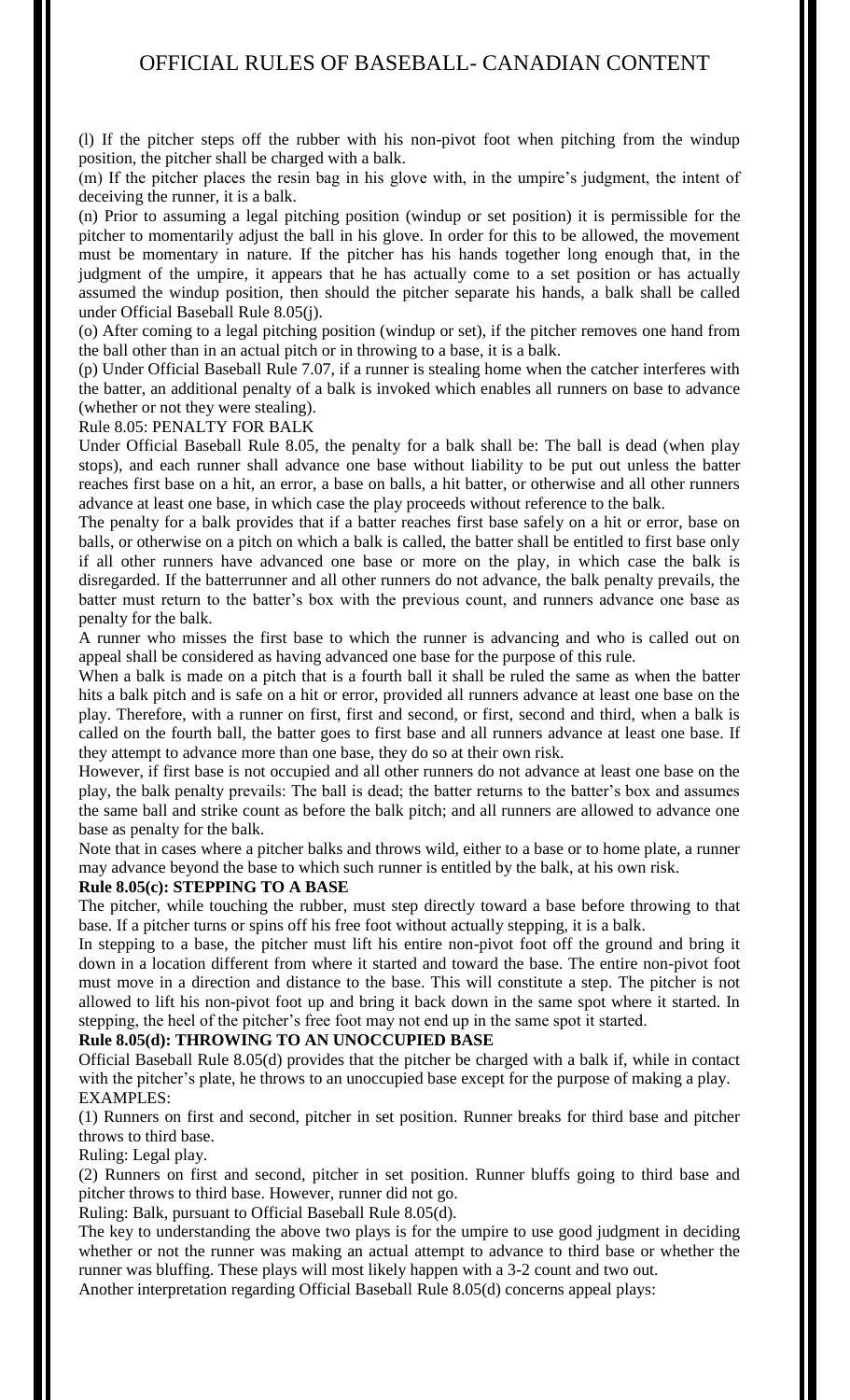(l) If the pitcher steps off the rubber with his non-pivot foot when pitching from the windup position, the pitcher shall be charged with a balk.

(m) If the pitcher places the resin bag in his glove with, in the umpire's judgment, the intent of deceiving the runner, it is a balk.

(n) Prior to assuming a legal pitching position (windup or set position) it is permissible for the pitcher to momentarily adjust the ball in his glove. In order for this to be allowed, the movement must be momentary in nature. If the pitcher has his hands together long enough that, in the judgment of the umpire, it appears that he has actually come to a set position or has actually assumed the windup position, then should the pitcher separate his hands, a balk shall be called under Official Baseball Rule 8.05(j).

(o) After coming to a legal pitching position (windup or set), if the pitcher removes one hand from the ball other than in an actual pitch or in throwing to a base, it is a balk.

(p) Under Official Baseball Rule 7.07, if a runner is stealing home when the catcher interferes with the batter, an additional penalty of a balk is invoked which enables all runners on base to advance (whether or not they were stealing).

#### Rule 8.05: PENALTY FOR BALK

Under Official Baseball Rule 8.05, the penalty for a balk shall be: The ball is dead (when play stops), and each runner shall advance one base without liability to be put out unless the batter reaches first base on a hit, an error, a base on balls, a hit batter, or otherwise and all other runners advance at least one base, in which case the play proceeds without reference to the balk.

The penalty for a balk provides that if a batter reaches first base safely on a hit or error, base on balls, or otherwise on a pitch on which a balk is called, the batter shall be entitled to first base only if all other runners have advanced one base or more on the play, in which case the balk is disregarded. If the batterrunner and all other runners do not advance, the balk penalty prevails, the batter must return to the batter's box with the previous count, and runners advance one base as penalty for the balk.

A runner who misses the first base to which the runner is advancing and who is called out on appeal shall be considered as having advanced one base for the purpose of this rule.

When a balk is made on a pitch that is a fourth ball it shall be ruled the same as when the batter hits a balk pitch and is safe on a hit or error, provided all runners advance at least one base on the play. Therefore, with a runner on first, first and second, or first, second and third, when a balk is called on the fourth ball, the batter goes to first base and all runners advance at least one base. If they attempt to advance more than one base, they do so at their own risk.

However, if first base is not occupied and all other runners do not advance at least one base on the play, the balk penalty prevails: The ball is dead; the batter returns to the batter's box and assumes the same ball and strike count as before the balk pitch; and all runners are allowed to advance one base as penalty for the balk.

Note that in cases where a pitcher balks and throws wild, either to a base or to home plate, a runner may advance beyond the base to which such runner is entitled by the balk, at his own risk.

#### **Rule 8.05(c): STEPPING TO A BASE**

The pitcher, while touching the rubber, must step directly toward a base before throwing to that base. If a pitcher turns or spins off his free foot without actually stepping, it is a balk.

In stepping to a base, the pitcher must lift his entire non-pivot foot off the ground and bring it down in a location different from where it started and toward the base. The entire non-pivot foot must move in a direction and distance to the base. This will constitute a step. The pitcher is not allowed to lift his non-pivot foot up and bring it back down in the same spot where it started. In stepping, the heel of the pitcher's free foot may not end up in the same spot it started.

#### **Rule 8.05(d): THROWING TO AN UNOCCUPIED BASE**

Official Baseball Rule 8.05(d) provides that the pitcher be charged with a balk if, while in contact with the pitcher's plate, he throws to an unoccupied base except for the purpose of making a play. EXAMPLES:

(1) Runners on first and second, pitcher in set position. Runner breaks for third base and pitcher throws to third base.

Ruling: Legal play.

(2) Runners on first and second, pitcher in set position. Runner bluffs going to third base and pitcher throws to third base. However, runner did not go.

Ruling: Balk, pursuant to Official Baseball Rule 8.05(d).

The key to understanding the above two plays is for the umpire to use good judgment in deciding whether or not the runner was making an actual attempt to advance to third base or whether the runner was bluffing. These plays will most likely happen with a 3-2 count and two out.

Another interpretation regarding Official Baseball Rule 8.05(d) concerns appeal plays: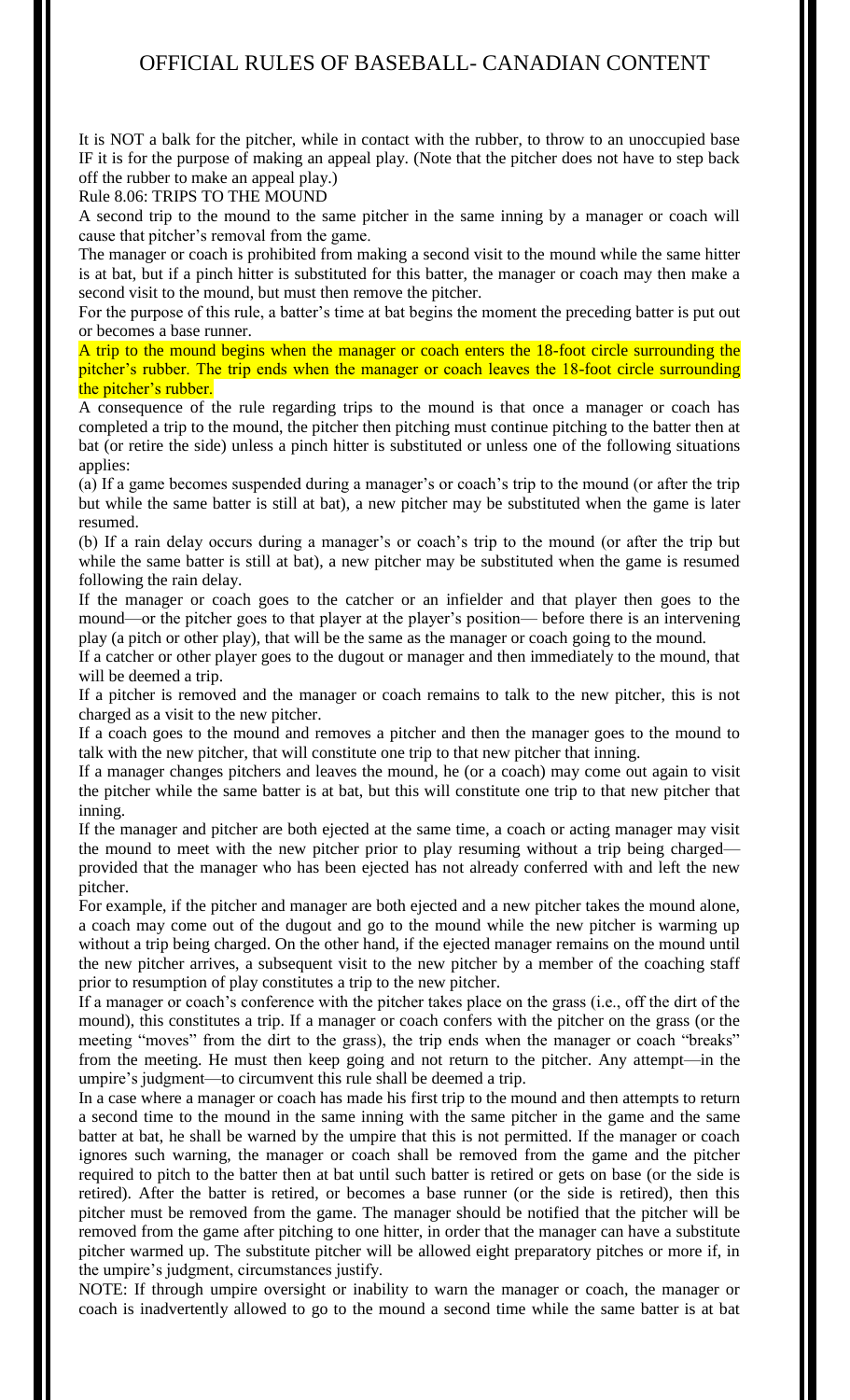It is NOT a balk for the pitcher, while in contact with the rubber, to throw to an unoccupied base IF it is for the purpose of making an appeal play. (Note that the pitcher does not have to step back off the rubber to make an appeal play.)

Rule 8.06: TRIPS TO THE MOUND

A second trip to the mound to the same pitcher in the same inning by a manager or coach will cause that pitcher's removal from the game.

The manager or coach is prohibited from making a second visit to the mound while the same hitter is at bat, but if a pinch hitter is substituted for this batter, the manager or coach may then make a second visit to the mound, but must then remove the pitcher.

For the purpose of this rule, a batter's time at bat begins the moment the preceding batter is put out or becomes a base runner.

A trip to the mound begins when the manager or coach enters the 18-foot circle surrounding the pitcher's rubber. The trip ends when the manager or coach leaves the 18-foot circle surrounding the pitcher's rubber.

A consequence of the rule regarding trips to the mound is that once a manager or coach has completed a trip to the mound, the pitcher then pitching must continue pitching to the batter then at bat (or retire the side) unless a pinch hitter is substituted or unless one of the following situations applies:

(a) If a game becomes suspended during a manager's or coach's trip to the mound (or after the trip but while the same batter is still at bat), a new pitcher may be substituted when the game is later resumed.

(b) If a rain delay occurs during a manager's or coach's trip to the mound (or after the trip but while the same batter is still at bat), a new pitcher may be substituted when the game is resumed following the rain delay.

If the manager or coach goes to the catcher or an infielder and that player then goes to the mound—or the pitcher goes to that player at the player's position— before there is an intervening play (a pitch or other play), that will be the same as the manager or coach going to the mound.

If a catcher or other player goes to the dugout or manager and then immediately to the mound, that will be deemed a trip.

If a pitcher is removed and the manager or coach remains to talk to the new pitcher, this is not charged as a visit to the new pitcher.

If a coach goes to the mound and removes a pitcher and then the manager goes to the mound to talk with the new pitcher, that will constitute one trip to that new pitcher that inning.

If a manager changes pitchers and leaves the mound, he (or a coach) may come out again to visit the pitcher while the same batter is at bat, but this will constitute one trip to that new pitcher that inning.

If the manager and pitcher are both ejected at the same time, a coach or acting manager may visit the mound to meet with the new pitcher prior to play resuming without a trip being charged provided that the manager who has been ejected has not already conferred with and left the new pitcher.

For example, if the pitcher and manager are both ejected and a new pitcher takes the mound alone, a coach may come out of the dugout and go to the mound while the new pitcher is warming up without a trip being charged. On the other hand, if the ejected manager remains on the mound until the new pitcher arrives, a subsequent visit to the new pitcher by a member of the coaching staff prior to resumption of play constitutes a trip to the new pitcher.

If a manager or coach's conference with the pitcher takes place on the grass (i.e., off the dirt of the mound), this constitutes a trip. If a manager or coach confers with the pitcher on the grass (or the meeting "moves" from the dirt to the grass), the trip ends when the manager or coach "breaks" from the meeting. He must then keep going and not return to the pitcher. Any attempt—in the umpire's judgment—to circumvent this rule shall be deemed a trip.

In a case where a manager or coach has made his first trip to the mound and then attempts to return a second time to the mound in the same inning with the same pitcher in the game and the same batter at bat, he shall be warned by the umpire that this is not permitted. If the manager or coach ignores such warning, the manager or coach shall be removed from the game and the pitcher required to pitch to the batter then at bat until such batter is retired or gets on base (or the side is retired). After the batter is retired, or becomes a base runner (or the side is retired), then this pitcher must be removed from the game. The manager should be notified that the pitcher will be removed from the game after pitching to one hitter, in order that the manager can have a substitute pitcher warmed up. The substitute pitcher will be allowed eight preparatory pitches or more if, in the umpire's judgment, circumstances justify.

NOTE: If through umpire oversight or inability to warn the manager or coach, the manager or coach is inadvertently allowed to go to the mound a second time while the same batter is at bat